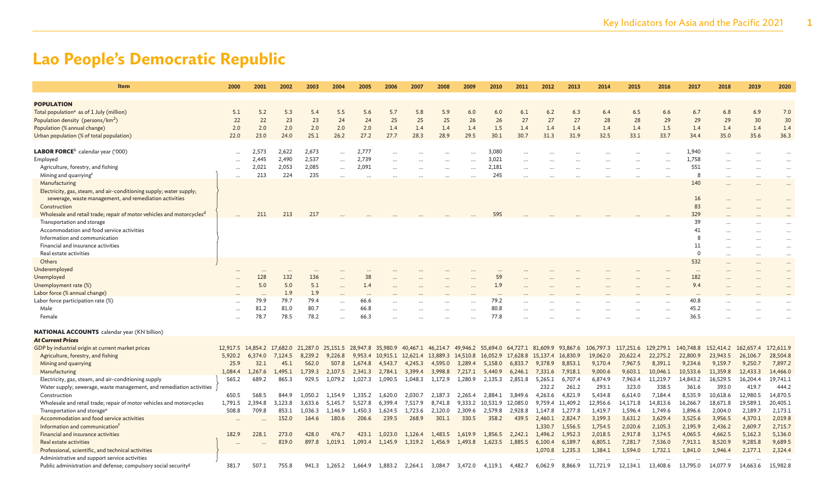| Item                                                                              | 2000      | 2001         | 2002         | 2003                                                                                                                          | 2004                 | 2005         | 2006             | 2007    | 2008                       | 2009      | 2010             | 2011                            | 2012    | 2013             | 2014     | 2015     | 2016                                                        | 2017         | 2018     | 2019     | 2020      |
|-----------------------------------------------------------------------------------|-----------|--------------|--------------|-------------------------------------------------------------------------------------------------------------------------------|----------------------|--------------|------------------|---------|----------------------------|-----------|------------------|---------------------------------|---------|------------------|----------|----------|-------------------------------------------------------------|--------------|----------|----------|-----------|
| <b>POPULATION</b>                                                                 |           |              |              |                                                                                                                               |                      |              |                  |         |                            |           |                  |                                 |         |                  |          |          |                                                             |              |          |          |           |
| Total population <sup>a</sup> as of 1 July (million)                              | 5.1       | 5.2          | 5.3          | 5.4                                                                                                                           | 5.5                  | 5.6          | 5.7              | 5.8     | 5.9                        | 6.0       | 6.0              | 6.1                             | 6.2     | 6.3              | 6.4      | 6.5      | 6.6                                                         | 6.7          | 6.8      | 6.9      | 7.0       |
| Population density (persons/km <sup>2</sup> )                                     | 22        | 22           | 23           | 23                                                                                                                            | 24                   | 24           | 25               | 25      | 25                         | 26        | 26               | 27                              | 27      | 27               | 28       | 28       | 29                                                          | 29           | 29       | 30       | 30        |
| Population (% annual change)                                                      | 2.0       | 2.0          | 2.0          | 2.0                                                                                                                           | 2.0                  | 2.0          | 1.4              | 1.4     | 1.4                        | 1.4       | 1.5              | 1.4                             | 1.4     | 1.4              | 1.4      | 1.4      | 1.5                                                         | 1.4          | 1.4      | 1.4      | 1.4       |
| Urban population (% of total population)                                          | 22.0      | 23.0         | 24.0         | 25.1                                                                                                                          | 26.2                 | 27.2         | 27.7             | 28.3    | 28.9                       | 29.5      | 30.1             | 30.7                            | 31.3    | 31.9             | 32.5     | 33.1     | 33.7                                                        | 34.4         | 35.0     | 35.6     | 36.3      |
|                                                                                   |           |              |              |                                                                                                                               |                      |              |                  |         |                            |           |                  |                                 |         |                  |          |          |                                                             |              |          |          |           |
| $\mathsf{LABOR}$ FORCE $^{\mathsf{b}}$ calendar year ('000)                       | $\ddotsc$ | 2,573        | 2,622        | 2,673                                                                                                                         | $\ddot{\phantom{a}}$ | 2,777        | $\ddotsc$        |         |                            | $\ddotsc$ | 3,080            |                                 |         |                  |          |          | $\cdots$                                                    | 1.940        | $\cdots$ |          | $\ddotsc$ |
| Employed                                                                          |           | 2,445        | 2,490        | 2,537                                                                                                                         | $\cdots$             | 2,739        |                  |         |                            |           | 3,021            |                                 |         |                  |          |          |                                                             | 1,758        |          |          |           |
| Agriculture, forestry, and fishing                                                |           | 2,021        | 2,053        | 2,085                                                                                                                         | $\ddot{\phantom{a}}$ | 2,091        |                  |         |                            | $\ddotsc$ | 2,181            |                                 |         |                  |          |          |                                                             | 551          |          |          |           |
| Mining and quarrying <sup>c</sup>                                                 |           | 213          | 224          | 235                                                                                                                           |                      |              |                  |         |                            |           | 245              |                                 |         |                  |          |          |                                                             | 8            |          |          |           |
| Manufacturing                                                                     |           |              |              |                                                                                                                               |                      |              |                  |         |                            |           |                  |                                 |         |                  |          |          |                                                             | 140          |          |          |           |
| Electricity, gas, steam, and air-conditioning supply; water supply;               |           |              |              |                                                                                                                               |                      |              |                  |         |                            |           |                  |                                 |         |                  |          |          |                                                             |              |          |          |           |
| sewerage, waste management, and remediation activities                            |           |              |              |                                                                                                                               |                      |              |                  |         |                            |           |                  |                                 |         |                  |          |          |                                                             | 16           |          |          |           |
| Construction                                                                      |           |              |              |                                                                                                                               |                      |              |                  |         |                            |           |                  |                                 |         |                  |          |          |                                                             | 83           |          |          |           |
| Wholesale and retail trade; repair of motor vehicles and motorcycles <sup>d</sup> |           | 211          | 213          | 217                                                                                                                           |                      |              |                  |         |                            |           | 595              |                                 |         |                  |          |          |                                                             | 329          |          |          |           |
| Transportation and storage                                                        |           |              |              |                                                                                                                               |                      |              |                  |         |                            |           |                  |                                 |         |                  |          |          |                                                             | 39           |          |          |           |
| Accommodation and food service activities                                         |           |              |              |                                                                                                                               |                      |              |                  |         |                            |           |                  |                                 |         |                  |          |          |                                                             | 41           |          |          |           |
| Information and communication                                                     |           |              |              |                                                                                                                               |                      |              |                  |         |                            |           |                  |                                 |         |                  |          |          |                                                             | 8            |          |          |           |
| Financial and insurance activities                                                |           |              |              |                                                                                                                               |                      |              |                  |         |                            |           |                  |                                 |         |                  |          |          |                                                             | 11           |          |          | $\ddotsc$ |
| Real estate activities                                                            |           |              |              |                                                                                                                               |                      |              |                  |         |                            |           |                  |                                 |         |                  |          |          |                                                             | $\Omega$     | $\cdots$ |          | $\cdots$  |
| Others                                                                            |           |              |              |                                                                                                                               |                      |              |                  |         |                            |           |                  |                                 |         |                  |          |          |                                                             | 532          |          |          |           |
| Underemployed                                                                     |           |              |              |                                                                                                                               |                      |              |                  |         |                            |           |                  |                                 |         |                  |          |          |                                                             |              |          |          | $\ddotsc$ |
| Unemployed                                                                        |           | 128          | 132          | 136                                                                                                                           |                      | 38           |                  |         |                            |           | 59               |                                 |         |                  |          |          |                                                             | 182          |          |          |           |
| Unemployment rate (%)                                                             |           | 5.0          | 5.0          | 5.1                                                                                                                           | $\ddotsc$            | 1.4          |                  |         |                            |           | 1.9              |                                 |         |                  |          |          |                                                             | 9.4          |          |          |           |
| Labor force (% annual change)                                                     |           | $\cdots$     | 1.9          | 1.9                                                                                                                           |                      |              |                  |         |                            |           |                  |                                 |         |                  |          |          |                                                             |              |          |          |           |
| Labor force participation rate (%)<br>Male                                        |           | 79.9<br>81.2 | 79.7<br>81.0 | 79.4<br>80.7                                                                                                                  | $\cdots$             | 66.6<br>66.8 |                  |         |                            |           | 79.2<br>80.8     |                                 |         |                  |          |          |                                                             | 40.8<br>45.2 |          |          |           |
| Female                                                                            | $\ddotsc$ | 78.7         | 78.5         | 78.2                                                                                                                          | $\ddotsc$            | 66.3         |                  |         |                            |           | 77.8             |                                 |         |                  |          |          |                                                             | 36.5         |          |          |           |
|                                                                                   |           |              |              |                                                                                                                               | $\ddot{\phantom{a}}$ |              |                  |         |                            |           |                  |                                 |         |                  |          |          |                                                             |              |          |          |           |
| <b>NATIONAL ACCOUNTS</b> calendar year (KN billion)                               |           |              |              |                                                                                                                               |                      |              |                  |         |                            |           |                  |                                 |         |                  |          |          |                                                             |              |          |          |           |
| <b>At Current Prices</b>                                                          |           |              |              |                                                                                                                               |                      |              |                  |         |                            |           |                  |                                 |         |                  |          |          |                                                             |              |          |          |           |
| GDP by industrial origin at current market prices                                 |           |              |              | 12,917.5 14,854.2 17,682.0 21,287.0 25,151.5 28,947.8 35,980.9 40,467.1 46,214.7 49,946.2 55,694.0 64,727.1 81,609.9 93,867.6 |                      |              |                  |         |                            |           |                  |                                 |         |                  |          |          | 106,797.3 117,251.6 129,279.1 140,748.8 152,414.2 162,657.4 |              |          |          | 172,611.9 |
| Agriculture, forestry, and fishing                                                | 5,920.2   | 6.374.0      | 7,124.5      | 8.239.2                                                                                                                       | 9.226.8              |              | 9.953.4 10.915.1 |         | 12,621.4 13,889.3 14,510.8 |           | 16.052.9         | 17,628.8 15,137.4 16,830.9      |         |                  | 19,062.0 | 20,622.4 | 22,275.2                                                    | 22,800.9     | 23,943.5 | 26,106.7 | 28,504.8  |
| Mining and quarrying                                                              | 25.9      | 32.1         | 45.1         | 562.0                                                                                                                         | 507.8                | 1,674.8      | 4,543.7          | 4,245.3 | 4,595.0                    | 3,289.4   | 5,158.0          | 6,833.7                         | 9,378.9 | 8,853.1          | 9,170.4  | 7,967.5  | 8,391.1                                                     | 9,234.6      | 9,159.7  | 9,250.7  | 7,897.2   |
| Manufacturing                                                                     | 1,084.4   | 1,267.6      | 1,495.1      | 1,739.3                                                                                                                       | 2,107.5              | 2,341.3      | 2,784.1          |         | 3,399.4 3,998.8            | 7,217.1   | 5,440.9          | 6,246.1                         | 7,331.6 | 7,918.1          | 9,000.6  | 9,603.1  | 10,046.1                                                    | 10,533.6     | 11,359.8 | 12,433.3 | 14,466.0  |
| Electricity, gas, steam, and air-conditioning supply                              | 565.2     | 689.2        | 865.3        | 929.5                                                                                                                         | 1,079.2              |              | 1,027.3 1,090.5  |         | 1,048.3 1,172.9            | 1,280.9   |                  | 2,135.3 2,851.8 5,265.1 6,707.4 |         |                  | 6,874.9  | 7,963.4  | 11,219.7                                                    | 14,843.2     | 16,529.5 | 16,204.4 | 19,741.1  |
| Water supply; sewerage, waste management, and remediation activities              |           |              |              |                                                                                                                               |                      |              |                  |         |                            |           |                  |                                 | 232.2   | 261.2            | 293.1    | 323.0    | 338.5                                                       | 361.6        | 393.0    | 419.7    | 444.2     |
| Construction                                                                      | 650.5     | 568.5        | 844.9        | 1,050.2                                                                                                                       | 1.154.9              | 1,335.2      | 1,620.0          | 2,030.7 | 2,187.3                    | 2,265.4   | 2,884.1          | 3,849.6                         | 4,263.6 | 4,821.9          | 5,434.8  | 6,614.0  | 7,184.4                                                     | 8,535.9      | 10,618.6 | 12,980.5 | 14,870.5  |
| Wholesale and retail trade; repair of motor vehicles and motorcycles              | 1,791.5   | 2,394.8      | 3,123.8      | 3,633.6                                                                                                                       | 5,145.7              | 5,527.8      | 6,399.4          | 7,517.9 | 8,741.8                    |           | 9,333.2 10,531.9 | 12,085.0                        |         | 9,759.4 11,409.2 | 12,956.6 | 14,171.8 | 14,813.6                                                    | 16,266.7     | 18,671.8 | 19,589.1 | 20,405.1  |
| Transportation and storage <sup>e</sup>                                           | 508.8     | 709.8        | 853.1        | 1,036.3                                                                                                                       | 1,146.9              | 1,450.3      | 1,624.5          | 1,723.6 | 2,120.0                    | 2,309.6   | 2,579.8          | 2,928.8                         | 1,147.8 | 1,277.8          | 1,419.7  | 1,596.4  | 1,749.6                                                     | 1,896.6      | 2,004.0  | 2,189.7  | 2,173.1   |
| Accommodation and food service activities                                         | $\ddotsc$ | $\ddotsc$    | 152.0        | 164.6                                                                                                                         | 180.6                | 206.6        | 239.5            | 268.9   | 301.1                      | 330.5     | 358.2            | 439.5                           | 2,460.1 | 2,824.7          | 3,199.3  | 3,631.2  | 3,629.4                                                     | 3,525.6      | 3,956.5  | 4,370.1  | 2,019.8   |
| Information and communication <sup>f</sup>                                        |           |              |              |                                                                                                                               |                      |              |                  |         |                            |           |                  |                                 | 1,330.7 | 1,556.5          | 1,754.5  | 2,020.6  | 2,105.3                                                     | 2,195.9      | 2,436.2  | 2,609.7  | 2,715.7   |
| Financial and insurance activities                                                | 182.9     | 228.1        | 273.0        | 428.0                                                                                                                         | 476.7                | 423.1        | 1.023.0          | 1.126.4 | 1,483.5                    | 1,619.9   | 1,856.5          | 2,242.1                         | 1,496.2 | 1,952.3          | 2,018.5  | 2,917.8  | 3,174.5                                                     | 4,065.5      | 4,662.5  | 5,162.3  | 5,136.0   |
| Real estate activities                                                            |           |              | 819.0        | 897.8                                                                                                                         | 1,019.1              |              | 1,093.4 1,145.9  |         | 1,319.2 1,456.9            | 1,493.8   | 1,623.5          | 1,885.5                         | 6,100.4 | 6,189.7          | 6,805.1  | 7,281.7  | 7,536.0                                                     | 7,913.1      | 8,520.9  | 9,285.8  | 9,689.5   |
| Professional, scientific, and technical activities                                |           |              |              |                                                                                                                               |                      |              |                  |         |                            |           |                  |                                 | 1,070.8 | 1,235.3          | 1,384.1  | 1,594.0  | 1,732.1                                                     | 1,841.0      | 1,946.4  | 2,177.1  | 2,324.4   |
| Administrative and support service activities                                     |           |              |              |                                                                                                                               |                      |              |                  |         |                            |           |                  |                                 |         |                  |          |          |                                                             |              |          |          |           |
| Public administration and defense; compulsory social security <sup>g</sup>        | 381.7     | 507.1        | 755.8        | 941.3                                                                                                                         | 1,265.2              | 1,664.9      | 1,883.2          | 2,264.1 | 3,084.7                    | 3,472.0   | 4,119.1          | 4,482.7                         | 6,062.9 | 8,866.9          | 11,721.9 | 12,134.1 | 13,408.6                                                    | 13,795.0     | 14,077.9 | 14,663.6 | 15,982.8  |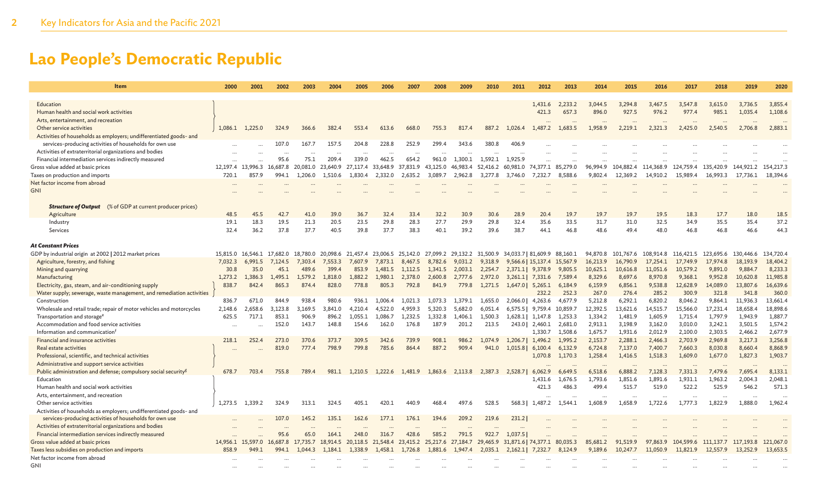| <b>Item</b>                                                                                                                   | 2000     | 2001              | 2002             | 2003             | 2004              | 2005               | 2006               | 2007                                         | 2008               | 2009               | 2010               | 2011                 | 2012                                 | 2013               | 2014                | 2015                | 2016                | 2017                | 2018                | 2019                | 2020                |
|-------------------------------------------------------------------------------------------------------------------------------|----------|-------------------|------------------|------------------|-------------------|--------------------|--------------------|----------------------------------------------|--------------------|--------------------|--------------------|----------------------|--------------------------------------|--------------------|---------------------|---------------------|---------------------|---------------------|---------------------|---------------------|---------------------|
|                                                                                                                               |          |                   |                  |                  |                   |                    |                    |                                              |                    |                    |                    |                      |                                      |                    |                     |                     |                     |                     |                     |                     |                     |
| Education                                                                                                                     |          |                   |                  |                  |                   |                    |                    |                                              |                    |                    |                    |                      | 1,431.6                              | 2,233.2            | 3,044.5             | 3,294.8             | 3,467.5             | 3,547.8             | 3,615.0             | 3,736.5             | 3,855.4             |
| Human health and social work activities                                                                                       |          |                   |                  |                  |                   |                    |                    |                                              |                    |                    |                    |                      | 421.3                                | 657.3              | 896.0               | 927.5               | 976.2               | 977.4               | 985.1               | 1,035.4             | 1,108.6             |
| Arts, entertainment, and recreation                                                                                           |          |                   |                  |                  |                   |                    |                    |                                              |                    |                    |                    |                      |                                      |                    |                     |                     |                     |                     |                     |                     |                     |
| Other service activities                                                                                                      | 1,086.1  | 1,225.0           | 324.9            | 366.6            | 382.4             | 553.4              | 613.6              | 668.0                                        | 755.3              | 817.4              | 887.2              | 1,026.4              | 1,487.2                              | 1,683.5            | 1,958.9             | 2,219.1             | 2,321.3             | 2,425.0             | 2,540.5             | 2,706.8             | 2,883.1             |
| Activities of households as employers; undifferentiated goods- and<br>services-producing activities of households for own use |          |                   | 107.0            | 167.7            | 157.5             | 204.8              | 228.8              | 252.9                                        | 299.4              | 343.6              | 380.8              | 406.9                |                                      |                    |                     |                     |                     |                     |                     |                     |                     |
| Activities of extraterritorial organizations and bodies                                                                       |          |                   |                  |                  |                   |                    |                    |                                              |                    |                    |                    |                      |                                      |                    |                     |                     |                     |                     |                     |                     |                     |
| Financial intermediation services indirectly measured                                                                         | $\ddots$ |                   | $\cdots$<br>95.6 | 75.1             | $\cdots$<br>209.4 | <br>339.0          | $\cdots$<br>462.5  | $\ddotsc$<br>654.2                           | $\ddotsc$<br>961.0 | 1.300.1            | 1.592.1            | $\ddotsc$<br>1.925.9 |                                      |                    |                     |                     |                     |                     |                     |                     |                     |
| Gross value added at basic prices                                                                                             | $\ddots$ | 12.197.4 13.996.3 | 16,687.8         | 20,081.0         | 23,640.9          | 27.117.4           | 33.648.9           | 37.831.9                                     | 43.125.0           | 46,983.4           | 52,416.2           | 60.981.0             | 74,377.1 85,279.0                    |                    | 96.994.9            | 104.882.4           | 114,368.9           | 124,759.4           | 135,420.9           | 144.921.2           | 154,217.3           |
| Taxes on production and imports                                                                                               | 720.1    | 857.9             | 994.1            | 1,206.0          | 1,510.6           | 1,830.4            | 2,332.0            | 2,635.2                                      | 3,089.7            | 2,962.8            | 3,277.8            | 3,746.0              | 7,232.7                              | 8,588.6            | 9,802.4             | 12,369.2            | 14,910.2            | 15,989.4            | 16,993.3            | 17,736.1            | 18,394.6            |
| Net factor income from abroad                                                                                                 |          |                   |                  |                  |                   |                    |                    |                                              |                    |                    |                    |                      |                                      |                    |                     |                     |                     |                     |                     |                     |                     |
| <b>GNI</b>                                                                                                                    |          |                   |                  |                  |                   |                    |                    |                                              |                    |                    |                    |                      |                                      |                    |                     |                     |                     |                     |                     |                     |                     |
|                                                                                                                               |          |                   |                  |                  |                   |                    |                    |                                              |                    |                    |                    |                      |                                      |                    |                     |                     |                     |                     |                     |                     |                     |
| <b>Structure of Output</b> (% of GDP at current producer prices)                                                              |          |                   |                  |                  |                   |                    |                    |                                              |                    |                    |                    |                      |                                      |                    |                     |                     |                     |                     |                     |                     |                     |
| Agriculture                                                                                                                   | 48.5     | 45.5              | 42.7             | 41.0             | 39.0              | 36.7               | 32.4               | 33.4                                         | 32.2               | 30.9               | 30.6               | 28.9                 | 20.4                                 | 19.7               | 19.7                | 19.7                | 19.5                | 18.3                | 17.7                | 18.0                | 18.5                |
| Industry                                                                                                                      | 19.1     | 18.3              | 19.5             | 21.3             | 20.5              | 23.5               | 29.8               | 28.3                                         | 27.7               | 29.9               | 29.8               | 32.4                 | 35.6                                 | 33.5               | 31.7                | 31.0                | 32.5                | 34.9                | 35.5                | 35.4                | 37.2                |
| Services                                                                                                                      | 32.4     | 36.2              | 37.8             | 37.7             | 40.5              | 39.8               | 37.7               | 38.3                                         | 40.1               | 39.2               | 39.6               | 38.7                 | 44.1                                 | 46.8               | 48.6                | 49.4                | 48.0                | 46.8                | 46.8                | 46.6                | 44.3                |
|                                                                                                                               |          |                   |                  |                  |                   |                    |                    |                                              |                    |                    |                    |                      |                                      |                    |                     |                     |                     |                     |                     |                     |                     |
| <b>At Constant Prices</b>                                                                                                     |          |                   |                  |                  |                   |                    |                    |                                              |                    |                    |                    |                      |                                      |                    |                     |                     |                     |                     |                     |                     |                     |
| GDP by industrial origin at 2002   2012 market prices                                                                         | 15.815.0 | 16.546.1          | 17,682.0         | 18,780.0         |                   | 20,098.6 21,457.4  |                    | 23,006.5 25,142.0 27,099.2 29,132.2 31,500.9 |                    |                    |                    |                      | 34,033.7   81,609.9 88,160.1         |                    | 94,870.8            | 101.767.6           | 108,914.8           | 116,421.5           | 123,695.6           | 130,446.6           | 134,720.4           |
| Agriculture, forestry, and fishing                                                                                            | 7,032.3  | 6,991.5           | 7,124.5          | 7,303.4          | 7,553.3           | 7,607.9            | 7,873.1            | 8,467.5                                      | 8,782.6            | 9,031.2            | 9,318.9            |                      | 9,566.6   15,137.4 15,567.9          |                    | 16,213.9            | 16,790.9            | 17,254.1            | 17,749.9            | 17,974.8            | 18,193.9            | 18,404.2            |
| Mining and quarrying                                                                                                          | 30.8     | 35.0              | 45.1             | 489.6            | 399.4             | 853.9              | 1,481.5            | 1,112.5                                      | 1,341.5            | 2,003.1            | 2,254.7            |                      | 2,371.1 9,378.9                      | 9,805.5            | 10,625.1            | 10,616.8            | 11,051.6            | 10,579.2            | 9,891.0             | 9,884.7             | 8,233.3             |
| Manufacturing                                                                                                                 | 1,273.2  | 1.386.3           | 1.495.1          | 1.579.2          | 1,818.0           | 1,882.2            | 1.980.1            | 2,378.0                                      | 2,600.8            | 2,777.6            | 2,972.0            |                      | $3,261.1$ 7,331.6                    | 7.589.4            | 8,329.6             | 8,697.6             | 8,970.8             | 9,368.1             | 9,952.8             | 10,620.8            | 11,985.8            |
| Electricity, gas, steam, and air-conditioning supply                                                                          | 838.7    | 842.4             | 865.3            | 874.4            | 828.0             | 778.8              | 805.3              | 792.8                                        | 841.9              | 779.8              | 1,271.5            |                      | $1,647.0$ 5,265.1                    | 6,184.9            | 6,159.9             | 6,856.1             | 9,538.8             | 12,628.9            | 14,089.0            | 13,807.6            | 16,639.6            |
| Water supply; sewerage, waste management, and remediation activities                                                          |          |                   |                  |                  |                   |                    |                    |                                              |                    |                    |                    |                      | 232.2                                | 252.3              | 267.0               | 276.4               | 285.2               | 300.9               | 321.8               | 341.8               | 360.0               |
| Construction                                                                                                                  | 836.7    | 671.0             | 844.9            | 938.4            | 980.6             | 936.1              | 1.006.4            | 1.021.3                                      | 1.073.3            | 1.379.1            | 1.655.0            | 2,066.0              | 4,263.6                              | 4.677.9            | 5,212.8             | 6.292.1             | 6,820.2             | 8,046.2             | 9,864.1             | 11,936.3            | 13,661.4            |
| Wholesale and retail trade; repair of motor vehicles and motorcycles<br>Transportation and storage <sup>e</sup>               | 2,148.6  | 2,658.6<br>717.1  | 3,123.8<br>853.1 | 3,169.5<br>906.9 | 3,841.0<br>896.2  | 4,210.4<br>1,055.1 | 4,522.0<br>1,086.7 | 4,959.3<br>1,232.5                           | 5,320.3<br>1,332.8 | 5,682.0<br>1,406.1 | 6,051.4<br>1,500.3 | 6,575.5              | 9,759.4                              | 10,859.7           | 12,392.5<br>1,334.2 | 13,621.6<br>1,481.9 | 14,515.7<br>1,605.9 | 15,566.0<br>1,715.4 | 17,231.4<br>1,797.9 | 18,658.4<br>1,943.9 | 18,898.6<br>1,887.7 |
| Accommodation and food service activities                                                                                     | 625.5    |                   | 152.0            | 143.7            | 148.8             | 154.6              | 162.0              | 176.8                                        | 187.9              | 201.2              | 213.5              |                      | 1,628.1   1,147.8<br>243.0   2,460.1 | 1,253.3<br>2,681.0 | 2,913.1             | 3,198.9             | 3,162.0             |                     | 3,242.1             | 3,501.5             | 1,574.2             |
| Information and communication <sup>f</sup>                                                                                    |          |                   |                  |                  |                   |                    |                    |                                              |                    |                    |                    |                      | 1,330.7                              | 1,508.6            | 1,675.7             | 1,931.6             | 2,012.9             | 3,010.0<br>2,100.0  | 2,303.5             | 2,466.2             | 2,677.9             |
| Financial and insurance activities                                                                                            | 218.1    | 252.4             | 273.0            | 370.6            | 373.7             | 309.5              | 342.6              | 739.9                                        | 908.1              | 986.2              | 1.074.9            |                      | 1.206.71 1.496.2                     | 1,995.2            | 2,153.7             | 2,288.1             | 2,466.3             | 2,703.9             | 2,969.8             | 3,217.3             | 3,256.8             |
| Real estate activities                                                                                                        |          |                   | 819.0            | 777.4            | 798.9             | 799.8              | 785.6              | 864.4                                        | 887.2              | 909.4              | 941.0              |                      | $1,015.8$ 6,100.4                    | 6,132.9            | 6,724.8             | 7,137.0             | 7,400.7             | 7,660.3             | 8,030.8             | 8,660.4             | 8,868.9             |
| Professional, scientific, and technical activities                                                                            |          |                   |                  |                  |                   |                    |                    |                                              |                    |                    |                    |                      | 1,070.8                              | 1,170.3            | 1,258.4             | 1,416.5             | 1,518.3             | 1,609.0             | 1,677.0             | 1,827.3             | 1,903.7             |
| Administrative and support service activities                                                                                 |          |                   |                  |                  |                   |                    |                    |                                              |                    |                    |                    |                      |                                      |                    | $\ddots$            | $\ddotsc$           | $\ddotsc$           |                     |                     |                     |                     |
| Public administration and defense; compulsory social security <sup>g</sup>                                                    | 678.7    | 703.4             | 755.8            | 789.4            | 981.1             |                    |                    | 1,210.5 1,222.6 1,481.9                      | 1,863.6            | 2,113.8            | 2.387.3            | 2,528.7              | 6,062.9                              | 6,649.5            | 6,518.6             | 6,888.2             | 7,128.3             | 7,331.3             | 7,479.6             | 7,695.4             | 8,133.1             |
| Education                                                                                                                     |          |                   |                  |                  |                   |                    |                    |                                              |                    |                    |                    |                      | 1,431.6                              | 1,676.5            | 1,793.6             | 1,851.6             | 1,891.6             | 1,931.1             | 1,963.2             | 2,004.3             | 2,048.1             |
| Human health and social work activities                                                                                       |          |                   |                  |                  |                   |                    |                    |                                              |                    |                    |                    |                      | 421.3                                | 486.3              | 499.4               | 515.7               | 519.0               | 522.2               | 525.9               | 546.2               | 571.3               |
| Arts, entertainment, and recreation                                                                                           |          |                   |                  |                  |                   |                    |                    |                                              |                    |                    |                    |                      |                                      | $\cdots$           | $\cdots$            | $\cdots$            | $\cdots$            | $\cdots$            | $\cdots$            | $\cdots$            |                     |
| Other service activities                                                                                                      | 1,273.5  | 1.339.2           | 324.9            | 313.1            | 324.5             | 405.1              | 420.1              | 440.9                                        | 468.4              | 497.6              | 528.5              | 568.3                | 1,487.2                              | 1,544.1            | 1,608.9             | 1,658.9             | 1,722.6             | 1,777.3             | 1,822.9             | 1,888.0             | 1,962.4             |
| Activities of households as employers; undifferentiated goods- and                                                            |          |                   |                  |                  |                   |                    |                    |                                              |                    |                    |                    |                      |                                      |                    |                     |                     |                     |                     |                     |                     |                     |
| services-producing activities of households for own use                                                                       |          |                   | 107.0            | 145.2            | 135.1             | 162.6              | 177.1              | 176.1                                        | 194.6              | 209.2              | 219.6              | 231.2                |                                      |                    |                     |                     |                     |                     |                     |                     |                     |
| Activities of extraterritorial organizations and bodies                                                                       |          |                   |                  |                  |                   |                    |                    |                                              |                    |                    |                    |                      |                                      |                    |                     |                     |                     |                     |                     |                     |                     |
| Financial intermediation services indirectly measured                                                                         |          |                   | 95.6             | 65.0             | 164.1             | 248.0              | 316.7              | 428.6                                        | 585.2              | 791.5              | 922.7              | 1.037.5              |                                      |                    |                     |                     |                     |                     |                     |                     |                     |
| Gross value added at basic prices                                                                                             |          | 14,956.1 15,597.0 | 16,687.8         | 17,735.7         | 18,914.5          | 20,118.5 21,548.4  |                    | 23,415.2 25,217.6                            |                    | 27,184.7           | 29,465.9           |                      | 31,871.6   74,377.1 80,035.3         |                    | 85,681.2            | 91,519.9            | 97,863.9            | 104,599.6           | 111,137.7           | 117,193.8           | 121,067.0           |
| Taxes less subsidies on production and imports                                                                                | 858.9    | 949.1             | 994.1            | 1.044.3          | 1.184.1           | 1.338.9            | 1,458.1            | 1,726.8                                      | 1,881.6            | 1,947.4            | 2.035.1            | 2,162.1              | 7.232.7                              | 8,124.9            | 9,189.6             | 10,247.7            | 11.050.9            | 11.821.9            | .557.9              | 13.252.9            | 13,653.5            |
| Net factor income from abroad                                                                                                 |          |                   |                  |                  |                   |                    |                    |                                              |                    |                    |                    |                      |                                      |                    |                     |                     |                     |                     |                     |                     |                     |
| <b>GNI</b>                                                                                                                    |          |                   |                  |                  |                   |                    |                    |                                              |                    |                    |                    |                      |                                      |                    |                     |                     |                     |                     |                     |                     |                     |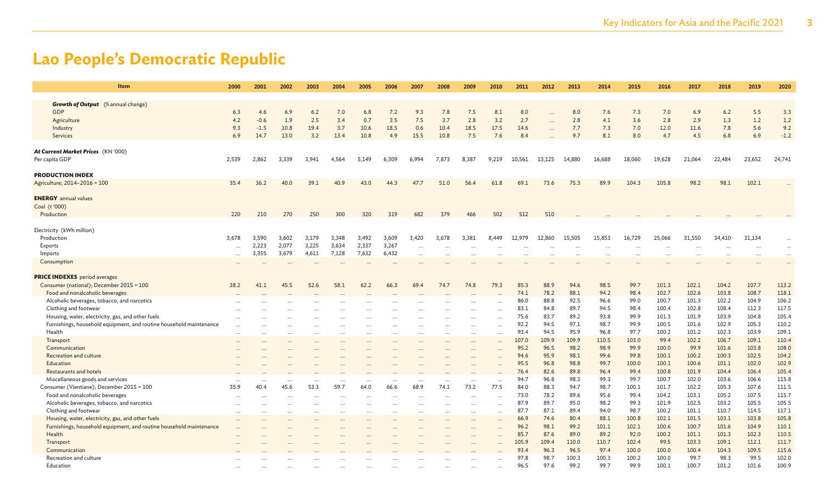| <b>Item</b>                                                                                                              | 2000         | 2001             | 2002                         | 2003     | 2004             | 2005             | 2006              | 2007                 | 2008                         | 2009                 | 2010              | 2011         | 2012                 | 2013         | 2014                 | 2015         | 2016           | 2017           | 2018           | 2019           | 2020           |
|--------------------------------------------------------------------------------------------------------------------------|--------------|------------------|------------------------------|----------|------------------|------------------|-------------------|----------------------|------------------------------|----------------------|-------------------|--------------|----------------------|--------------|----------------------|--------------|----------------|----------------|----------------|----------------|----------------|
| <b>Growth of Output</b> (% annual change)                                                                                |              |                  |                              |          |                  |                  |                   |                      |                              |                      |                   |              |                      |              |                      |              |                |                |                |                |                |
| GDP                                                                                                                      | 6.3          | 4.6              | 6.9                          | 6.2      | 7.0              | 6.8              | 7.2               | 9.3                  | 7.8                          | 7.5                  | 8.1               | 8.0          |                      | 8.0          | 7.6                  | 7.3          | 7.0            | 6.9            | 6.2            | 5.5            | 3.3            |
| Agriculture                                                                                                              | 4.2          | $-0.6$           | 1.9                          | 2.5      | 3.4              | 0.7              | 3.5               | 7.5                  | 3.7                          | 2.8                  | 3.2               | 2.7          | $\ddotsc$            | 2.8          | 4.1                  | 3.6          | 2.8            | 2.9            | 1.3            | 1.2            | 1.2            |
| Industry                                                                                                                 | 9.3          | $-1.5$           | 10.8                         | 19.4     | 3.7              | 10.6             | 18.5              | 0.6                  | 10.4                         | 18.5                 | 17.5              | 14.6         | $\ddotsc$            | 7.7          | 7.3                  | 7.0          | 12.0           | 11.6           | 7.8            | 5.6            | 9.2            |
| Services                                                                                                                 | 6.9          | 14.7             | 13.0                         | 3.2      | 13.4             | 10.8             | 4.9               | 15.5                 | 10.8                         | 7.5                  | 7.6               | 8.4          |                      | 9.7          | 8.1                  | 8.0          | 4.7            | 4.5            | 6.8            | 6.9            | $-1.2$         |
|                                                                                                                          |              |                  |                              |          |                  |                  |                   |                      |                              |                      |                   |              |                      |              |                      |              |                |                |                |                |                |
| At Current Market Prices (KN '000)                                                                                       |              |                  |                              |          |                  |                  |                   |                      |                              |                      |                   |              |                      |              |                      |              |                |                |                |                |                |
| Per capita GDP                                                                                                           | 2,539        | 2,862            | 3,339                        | 3,941    | 4,564            | 5,149            | 6,309             | 6,994                | 7,873                        | 8,387                | 9,219             | 10,561       | 13,125               | 14,880       | 16,688               | 18,060       | 19,628         | 21,064         | 22,484         | 23,652         | 24,741         |
|                                                                                                                          |              |                  |                              |          |                  |                  |                   |                      |                              |                      |                   |              |                      |              |                      |              |                |                |                |                |                |
| <b>PRODUCTION INDEX</b>                                                                                                  |              |                  |                              |          |                  |                  |                   |                      |                              |                      |                   |              |                      |              |                      |              |                |                |                |                |                |
| Agriculture; 2014-2016 = 100                                                                                             | 35.4         | 36.2             | 40.0                         | 39.1     | 40.9             | 43.0             | 44.3              | 47.7                 | 51.0                         | 56.4                 | 61.8              | 69.1         | 73.6                 | 75.3         | 89.9                 | 104.3        | 105.8          | 98.2           | 98.1           | 102.1          |                |
| <b>ENERGY</b> annual values                                                                                              |              |                  |                              |          |                  |                  |                   |                      |                              |                      |                   |              |                      |              |                      |              |                |                |                |                |                |
| Coal (t'000)                                                                                                             |              |                  |                              |          |                  |                  |                   |                      |                              |                      |                   |              |                      |              |                      |              |                |                |                |                |                |
| Production                                                                                                               | 220          | 210              | 270                          | 250      | 300              | 320              | 319               | 682                  | 379                          | 466                  | 502               | 512          | 510                  |              |                      |              |                |                |                |                |                |
|                                                                                                                          |              |                  |                              |          |                  |                  |                   |                      |                              |                      |                   |              |                      |              |                      |              |                |                |                |                |                |
| Electricity (kWh million)                                                                                                |              |                  |                              |          |                  |                  |                   |                      |                              |                      |                   |              |                      |              |                      |              |                |                |                |                |                |
| Production                                                                                                               | 3,678        | 3,590            | 3,602                        | 3,179    | 3,348            | 3,492            | 3,609             | 3,420                | 3,678                        | 3,381                | 8,449             | 12,979       | 12,860               | 15,505       | 15,853               | 16,729       | 25,066         | 31,550         | 34,410         | 31,134         | $\cdots$       |
| Exports                                                                                                                  |              | 2,223            | 2,077                        | 3,225    | 3,634            | 2,337            | 3,267             | $\cdots$             |                              |                      |                   |              |                      |              | $\ddotsc$            |              | $\ddotsc$      |                |                | $\cdots$       | $\cdots$       |
| Imports                                                                                                                  | $\ddots$     | 3,355            | 3,679                        | 4,611    | 7,128            | 7,632            | 6,432             | $\ddotsc$            |                              |                      |                   | .            | $\ddot{\phantom{a}}$ | $\ddotsc$    |                      |              |                |                |                |                | $\cdots$       |
| Consumption                                                                                                              |              |                  |                              |          |                  | $\ddotsc$        | $\cdots$          |                      |                              |                      |                   |              |                      |              | $\ddot{\phantom{a}}$ |              |                |                |                |                | $\cdots$       |
|                                                                                                                          |              |                  |                              |          |                  |                  |                   |                      |                              |                      |                   |              |                      |              |                      |              |                |                |                |                |                |
| <b>PRICE INDEXES</b> period averages                                                                                     |              |                  |                              |          |                  |                  |                   |                      |                              | 74.8                 |                   |              |                      |              |                      |              |                |                |                |                |                |
| Consumer (national); December 2015 = 100                                                                                 | 38.2         | 41.1             | 45.5                         | 52.6     | 58.1             | 62.2             | 66.3              | 69.4                 | 74.7                         |                      | 79.3              | 85.3         | 88.9                 | 94.6         | 98.5                 | 99.7         | 101.3          | 102.1          | 104.2          | 107.7          | 113.2          |
| Food and nonalcoholic beverages                                                                                          |              |                  |                              |          |                  |                  |                   |                      |                              |                      |                   | 74.1         | 78.2                 | 88.1         | 94.2                 | 98.4         | 102.7          | 102.6          | 103.8          | 108.7          | 118.1          |
| Alcoholic beverages, tobacco, and narcotics<br>Clothing and footwear                                                     |              |                  |                              |          |                  |                  |                   |                      |                              |                      |                   | 86.0<br>83.1 | 88.8<br>84.8         | 92.5<br>89.7 | 96.6<br>94.5         | 99.0<br>98.4 | 100.7<br>100.4 | 101.3<br>102.8 | 102.2<br>108.4 | 104.9<br>112.3 | 106.2<br>117.5 |
|                                                                                                                          |              |                  |                              |          |                  |                  |                   |                      |                              |                      |                   | 75.6         | 83.7                 | 89.2         | 93.8                 | 99.9         | 101.3          | 101.9          | 103.9          | 104.8          | 105.4          |
| Housing, water, electricity, gas, and other fuels<br>Furnishings, household equipment, and routine household maintenance |              |                  |                              |          |                  |                  |                   |                      |                              |                      | $\ddotsc$         | 92.2         | 94.5                 | 97.1         | 98.7                 | 99.9         | 100.5          | 101.6          | 102.9          | 105.3          | 110.2          |
| Health                                                                                                                   |              |                  |                              |          |                  | $\cdots$         |                   |                      |                              |                      |                   | 93.4         | 94.5                 | 95.9         | 96.8                 | 97.7         | 100.2          | 101.2          | 102.3          | 103.9          | 109.1          |
|                                                                                                                          | $\cdots$     |                  |                              |          | $\cdots$         | $\cdots$         | $\cdots$          | $\cdots$             |                              | $\cdots$             | $\cdots$          | 107.0        | 109.9                | 109.9        | 110.5                | 103.0        | 99.4           | 102.2          | 106.7          | 109.1          | 110.4          |
| Transport<br>Communication                                                                                               |              |                  |                              |          |                  |                  |                   |                      |                              |                      |                   | 95.2         | 96.5                 | 98.2         | 98.9                 | 99.9         | 100.0          | 99.9           | 101.6          | 103.8          | 108.0          |
| Recreation and culture                                                                                                   |              |                  |                              |          |                  |                  |                   |                      |                              |                      |                   | 94.6         | 95.9                 | 98.1         | 99.6                 | 99.8         | 100.1          | 100.2          | 100.3          | 102.5          | 104.2          |
| Education                                                                                                                |              |                  |                              |          |                  |                  |                   |                      |                              |                      |                   | 95.5         | 96.8                 | 98.8         | 99.7                 | 100.0        | 100.1          | 100.6          | 101.1          | 102.0          | 102.9          |
| <b>Restaurants and hotels</b>                                                                                            |              |                  |                              |          |                  |                  |                   |                      |                              |                      |                   | 76.4         | 82.6                 | 89.8         | 96.4                 | 99.4         | 100.8          | 101.9          | 104.4          | 106.4          | 105.4          |
| Miscellaneous goods and services                                                                                         |              |                  |                              |          |                  |                  |                   |                      |                              |                      |                   | 94.7         | 96.8                 | 98.3         | 99.3                 | 99.7         | 100.7          | 102.0          | 103.6          | 106.6          | 115.8          |
| Consumer (Vientiane); December 2015 = 100                                                                                | <br>35.9     | $\cdots$<br>40.4 | $\ddot{\phantom{a}}$<br>45.6 | 53.3     | $\cdots$<br>59.7 | $\cdots$<br>64.0 | $\ddotsc$<br>66.6 | $\cdots$<br>68.9     | $\ddot{\phantom{a}}$<br>74.1 | $\ddotsc$<br>73.2    | $\ddotsc$<br>77.5 | 84.0         | 88.3                 | 94.7         | 98.7                 | 100.1        | 101.7          | 102.2          | 105.3          | 107.6          | 111.5          |
| Food and nonalcoholic beverages                                                                                          |              |                  |                              |          |                  |                  |                   |                      |                              |                      |                   | 73.0         | 78.2                 | 89.6         | 95.6                 | 99.4         | 104.2          | 103.1          | 105.2          | 107.5          | 115.7          |
| Alcoholic beverages, tobacco, and narcotics                                                                              | <br>$\ddots$ |                  | $\cdots$<br>$\cdots$         | $\cdots$ | $\cdots$         | <br>$\cdots$     | <br>              | $\cdots$<br>$\ddots$ | $\ddotsc$<br>$\ddotsc$       | $\cdots$<br>$\cdots$ | $\ddotsc$<br>     | 87.9         | 89.7                 | 95.0         | 98.2                 | 99.3         | 101.9          | 102.5          | 103.2          | 105.5          | 105.5          |
| Clothing and footwear                                                                                                    |              |                  |                              | $\cdots$ | $\cdots$         |                  |                   |                      |                              |                      | $\cdots$          | 87.7         | 87.1                 | 89.4         | 94.0                 | 98.7         | 100.2          | 101.1          | 110.7          | 114.5          | 117.1          |
| Housing, water, electricity, gas, and other fuels                                                                        |              | $\cdots$         | $\cdots$                     |          | $\cdots$         | $\cdots$         |                   |                      | $\cdots$                     | $\cdots$             | $\ddotsc$         | 66.9         | 74.6                 | 80.4         | 88.1                 | 100.8        | 102.1          | 101.5          | 103.1          | 103.8          | 105.8          |
| Furnishings, household equipment, and routine household maintenance                                                      |              |                  |                              |          | $\cdots$         | $\cdots$         |                   |                      |                              | $\cdots$             |                   | 96.2         | 98.1                 | 99.2         | 101.1                | 102.1        | 100.6          | 100.7          | 101.6          | 104.9          | 110.1          |
| Health                                                                                                                   |              |                  |                              |          |                  |                  |                   |                      |                              |                      |                   | 85.7         | 87.6                 | 89.0         | 89.2                 | 92.0         | 100.2          | 101.1          | 101.3          | 102.3          | 110.5          |
| Transport                                                                                                                |              |                  |                              |          |                  |                  |                   |                      |                              |                      |                   | 105.9        | 109.4                | 110.0        | 110.7                | 102.4        | 99.5           | 103.3          | 109.1          | 112.1          | 111.7          |
| Communication                                                                                                            |              |                  |                              |          |                  |                  |                   |                      |                              |                      |                   | 93.4         | 96.3                 | 96.5         | 97.4                 | 100.0        | 100.0          | 100.4          | 104.3          | 109.5          | 115.6          |
| Recreation and culture                                                                                                   |              |                  |                              |          |                  |                  |                   |                      |                              |                      |                   | 97.8         | 98.7                 | 100.3        | 100.3                | 100.2        | 100.0          | 99.7           | 98.3           | 99.5           | 102.0          |
| Education                                                                                                                |              |                  |                              |          |                  |                  |                   |                      |                              |                      |                   | 96.5         | 97.6                 | 99.2         | 99.7                 | 99.9         | 100.1          | 100.7          | 101.2          | 101.6          | 100.9          |
|                                                                                                                          |              |                  |                              |          |                  |                  |                   |                      |                              |                      |                   |              |                      |              |                      |              |                |                |                |                |                |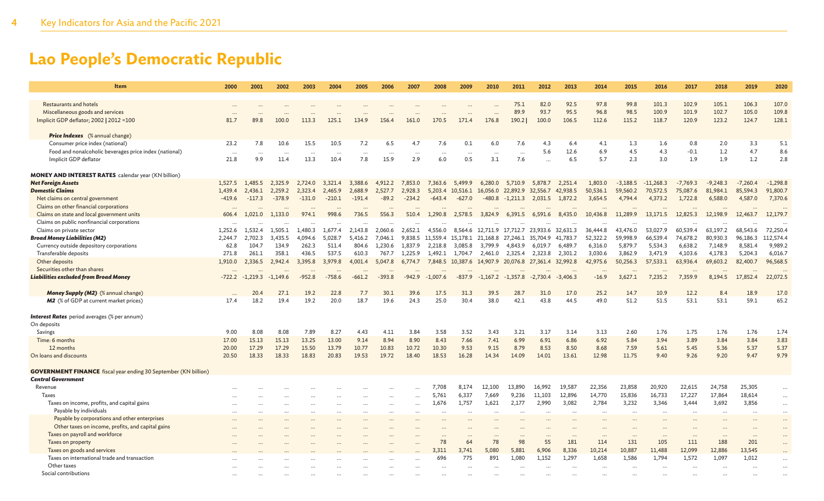| <b>Item</b>                                                            | 2000     | 2001       | 2002       | 2003         | 2004     | 2005        | 2006         | 2007     | 2008                 | 2009              | 2010         | 2011                                                 | 2012       | 2013         | 2014         | 2015       | 2016        | 2017         | 2018       | 2019         | 2020       |
|------------------------------------------------------------------------|----------|------------|------------|--------------|----------|-------------|--------------|----------|----------------------|-------------------|--------------|------------------------------------------------------|------------|--------------|--------------|------------|-------------|--------------|------------|--------------|------------|
| Restaurants and hotels                                                 |          |            |            |              |          |             |              |          |                      |                   |              |                                                      | 82.0       | 92.5         | 97.8         | 99.8       | 101.3       | 102.9        | 105.1      | 106.3        | 107.0      |
| Miscellaneous goods and services                                       |          |            |            |              |          |             |              |          |                      |                   |              | 75.1<br>89.9                                         | 93.7       | 95.5         | 96.8         | 98.5       | 100.9       | 101.9        | 102.7      | 105.0        | 109.8      |
| Implicit GDP deflator; 2002   2012 = 100                               | 81.7     | 89.8       | 100.0      | 113.3        | 125.1    | 134.9       | 156.4        | 161.0    | 170.5                | 171.4             | 176.8        | 190.2                                                | 100.0      | 106.5        | 112.6        | 115.2      | 118.7       | 120.9        | 123.2      | 124.7        | 128.1      |
|                                                                        |          |            |            |              |          |             |              |          |                      |                   |              |                                                      |            |              |              |            |             |              |            |              |            |
| <b>Price Indexes</b> (% annual change)                                 |          |            |            |              |          |             |              |          |                      |                   |              |                                                      |            |              |              |            |             |              |            |              |            |
| Consumer price index (national)                                        | 23.2     | 7.8        | 10.6       | 15.5         | 10.5     | 7.2         | 6.5          | 4.7      | 7.6                  | 0.1               | 6.0          | 7.6                                                  | 4.3        | 6.4          | 4.1          | 1.3        | 1.6         | 0.8          | 2.0        | 3.3          | 5.1        |
| Food and nonalcoholic beverages price index (national)                 | $\ddots$ | $\ddots$   |            | $\ddots$     | $\ddots$ | $\ddots$    | $\cdots$     | $\cdots$ | $\ddots$             | $\ddotsc$         |              | $\ddots$                                             | 5.6        | 12.6         | 6.9          | 4.5        | 4.3         | $-0.1$       | 1.2        | 4.7          | 8.6        |
| Implicit GDP deflator                                                  | 21.8     | 9.9        | 11.4       | 13.3         | 10.4     | 7.8         | 15.9         | 2.9      | 6.0                  | 0.5               | 3.1          | 7.6                                                  |            | 6.5          | 5.7          | 2.3        | 3.0         | 1.9          | 1.9        | 1.2          | 2.8        |
| <b>MONEY AND INTEREST RATES</b> calendar year (KN billion)             |          |            |            |              |          |             |              |          |                      |                   |              |                                                      |            |              |              |            |             |              |            |              |            |
| <b>Net Foreign Assets</b>                                              | 1,527.5  | 1,485.5    | 2,325.9    | 2,724.0      | 3,321.4  | 3,388.6     | 4,912.2      | 7,853.0  | 7,363.6              | 5,499.9           | 6,280.0      | 5,710.9                                              | 5,878.7    | 2,251.4      | 1,803.0      | $-3,188.5$ | $-11,268.3$ | $-7,769.3$   | $-9,248.3$ | $-7,260.4$   | $-1,298.8$ |
| <b>Domestic Claims</b>                                                 | 1,439.4  | 2,436.1    | 2,259.2    | 2,323.4      | 2,465.9  | 2,688.9     | 2,527.7      | 2,928.3  | 5,203.4              | 10,516.1 16,056.0 |              | 22,892.9                                             | 32,556.7   | 42,938.5     | 50,536.1     | 59,560.2   | 70,572.5    | 75,087.6     | 81,984.1   | 85,594.3     | 91,800.7   |
| Net claims on central government                                       | $-419.6$ | $-117.3$   | $-378.9$   | $-131.0$     | $-210.1$ | $-191.4$    | $-89.2$      | $-234.2$ | $-643.4$             | $-627.0$          | $-480.8$     | $-1,211.3$                                           | 2,031.5    | 1,872.2      | 3,654.5      | 4,794.4    | 4,373.2     | 1,722.8      | 6,588.0    | 4,587.0      | 7,370.6    |
| Claims on other financial corporations                                 |          |            |            |              |          |             | $\ddotsc$    |          |                      |                   |              |                                                      |            |              |              |            |             |              |            |              |            |
| Claims on state and local government units                             | 606.4    | 1,021.0    | 1,133.0    | 974.1        | 998.6    | 736.5       | 556.3        | 510.4    | 1,290.8              | 2,578.5           | 3,824.9      | 6,391.5                                              | 6,591.6    | 8,435.0      | 10,436.8     | 11,289.9   | 13,171.5    | 12,825.3     | 12,198.9   | 12,463.7     | 12,179.7   |
| Claims on public nonfinancial corporations                             |          |            |            |              |          |             | $\ddotsc$    |          |                      |                   |              |                                                      |            |              | $\cdots$     |            |             |              |            |              |            |
| Claims on private sector                                               | 1,252.6  | 1,532.4    | 1,505.1    | 1,480.3      | 1,677.4  | 2,143.8     | 2,060.6      | 2,652.1  | 4,556.0              | 8,564.6           |              | 12,711.9 17,712.7 23,933.6 32,631.3                  |            |              | 36,444.8     | 43,476.0   | 53,027.9    | 60,539.4     | 63,197.2   | 68,543.6     | 72,250.4   |
| <b>Broad Money Liabilities (M2)</b>                                    | 2,244.7  | 2,702.3    | 3,435.5    | 4.094.6      | 5,028.7  | 5,416.2     | 7,046.1      |          | 9,838.5 11,559.4     | 15,178.1          | 21,168.8     | 27,246.1 35,704.9                                    |            | 41,783.7     | 52,322.2     | 59,998.9   | 66,539.4    | 74,678.2     | 80,930.3   | 96,186.3     | 112,574.4  |
| Currency outside depository corporations                               | 62.8     | 104.7      | 134.9      | 262.3        | 511.4    | 804.6       | 1.230.6      | 1,837.9  | 2,218.8              | 3,085.8           | 3,799.9      | 4.843.9                                              | 6,019.7    | 6,489.7      | 6,316.0      | 5,879.7    | 5,534.3     | 6,638.2      | 7,148.9    | 8,581.4      | 9,989.2    |
| Transferable deposits                                                  | 271.8    | 261.1      | 358.1      | 436.5        | 537.5    | 610.3       | 767.7        | 1,225.9  | 1,492.1              | 1.704.7           | 2,461.0      | 2,325.4                                              | 2,323.8    | 2,301.2      | 3,030.6      | 3,862.9    | 3,471.9     | 4,103.6      | 4,178.3    | 5,204.3      | 6,016.7    |
| Other deposits                                                         | 1,910.0  | 2,336.5    | 2,942.4    | 3,395.8      | 3,979.8  | 4,001.4     | 5,047.8      | 6,774.7  |                      |                   |              | 7,848.5 10,387.6 14,907.9 20,076.8 27,361.4 32,992.8 |            |              | 42,975.6     | 50,256.3   | 57,533.1    | 63,936.4     | 69,603.2   | 82,400.7     | 96,568.5   |
| Securities other than shares                                           |          |            |            |              |          |             |              |          |                      |                   |              |                                                      |            |              |              |            |             |              |            |              |            |
| <b>Liabilities excluded from Broad Money</b>                           | $-722.2$ | $-1,219.3$ | $-1,149.6$ | $-952.8$     | $-758.6$ | $-661.2$    | $-393.8$     | $-942.9$ | $-1,007.6$           | $-837.9$          | $-1,167.2$   | $-1,357.8$                                           | $-2,730.4$ | $-3,406.3$   | $-16.9$      | 3,627.1    | 7,235.2     | 7,359.9      | 8,194.5    | 17,852.4     | 22,072.5   |
|                                                                        |          |            |            |              |          |             |              |          |                      |                   |              |                                                      |            |              |              |            |             |              |            |              |            |
| Money Supply (M2) (% annual change)                                    |          | 20.4       | 27.1       | 19.2<br>19.2 | 22.8     | 7.7<br>18.7 | 30.1<br>19.6 | 39.6     | 17.5<br>25.0         | 31.3<br>30.4      | 39.5<br>38.0 | 28.7                                                 | 31.0       | 17.0<br>44.5 | 25.2<br>49.0 | 14.7       | 10.9        | 12.2<br>53.1 | 8.4        | 18.9<br>59.1 | 17.0       |
| M2 (% of GDP at current market prices)                                 | 17.4     | 18.2       | 19.4       |              | 20.0     |             |              | 24.3     |                      |                   |              | 42.1                                                 | 43.8       |              |              | 51.2       | 51.5        |              | 53.1       |              | 65.2       |
| <b>Interest Rates</b> period averages (% per annum)                    |          |            |            |              |          |             |              |          |                      |                   |              |                                                      |            |              |              |            |             |              |            |              |            |
| On deposits                                                            |          |            |            |              |          |             |              |          |                      |                   |              |                                                      |            |              |              |            |             |              |            |              |            |
| Savings                                                                | 9.00     | 8.08       | 8.08       | 7.89         | 8.27     | 4.43        | 4.11         | 3.84     | 3.58                 | 3.52              | 3.43         | 3.21                                                 | 3.17       | 3.14         | 3.13         | 2.60       | 1.76        | 1.75         | 1.76       | 1.76         | 1.74       |
| Time: 6 months                                                         | 17.00    | 15.13      | 15.13      | 13.25        | 13.00    | 9.14        | 8.94         | 8.90     | 8.43                 | 7.66              | 7.41         | 6.99                                                 | 6.91       | 6.86         | 6.92         | 5.84       | 3.94        | 3.89         | 3.84       | 3.84         | 3.83       |
| 12 months                                                              | 20.00    | 17.29      | 17.29      | 15.50        | 13.79    | 10.77       | 10.83        | 10.72    | 10.30                | 9.53              | 9.15         | 8.79                                                 | 8.53       | 8.50         | 8.68         | 7.59       | 5.61        | 5.45         | 5.36       | 5.37         | 5.37       |
| On loans and discounts                                                 | 20.50    | 18.33      | 18.33      | 18.83        | 20.83    | 19.53       | 19.72        | 18.40    | 18.53                | 16.28             | 14.34        | 14.09                                                | 14.01      | 13.61        | 12.98        | 11.75      | 9.40        | 9.26         | 9.20       | 9.47         | 9.79       |
| <b>GOVERNMENT FINANCE</b> fiscal year ending 30 September (KN billion) |          |            |            |              |          |             |              |          |                      |                   |              |                                                      |            |              |              |            |             |              |            |              |            |
| <b>Central Government</b>                                              |          |            |            |              |          |             |              |          |                      |                   |              |                                                      |            |              |              |            |             |              |            |              |            |
| Revenue                                                                |          |            |            |              |          |             |              |          | 7,708                | 8,174             | 12,100       | 13,890                                               | 16,992     | 19,587       | 22,356       | 23,858     | 20,920      | 22,615       | 24,758     | 25,305       | $\cdots$   |
| Taxes                                                                  |          |            |            |              |          |             |              |          | 5,761                | 6,337             | 7,669        | 9,236                                                | 11,103     | 12,896       | 14,770       | 15,836     | 16,733      | 17,227       | 17,864     | 18,614       | $\cdots$   |
| Taxes on income, profits, and capital gains                            |          |            |            |              |          |             |              |          | 1,676                | 1,757             | 1,621        | 2,177                                                | 2,990      | 3.082        | 2,784        | 3,232      | 3,346       | 3.444        | 3,692      | 3,856        | $\ddots$   |
| Payable by individuals                                                 |          |            |            |              |          |             |              |          | $\ddotsc$            |                   |              |                                                      |            |              | $\cdots$     | $\cdots$   | $\cdots$    |              |            |              | $\cdots$   |
| Payable by corporations and other enterprises                          |          |            |            |              |          |             |              |          |                      |                   |              |                                                      |            |              |              |            |             |              |            |              | $\cdots$   |
| Other taxes on income, profits, and capital gains                      |          |            |            |              |          |             |              |          | $\ddot{\phantom{a}}$ |                   |              |                                                      |            |              | $\ddotsc$    |            |             |              |            |              | $\cdots$   |
| Taxes on payroll and workforce                                         |          |            |            |              |          |             |              |          | $\ddotsc$            |                   |              |                                                      | $\cdots$   | $\ddotsc$    | $\ddotsc$    |            |             |              | $\cdots$   |              | $\ddots$   |
| Taxes on property                                                      |          |            |            |              |          |             |              |          | 78                   | 64                | 78           | 98                                                   | 55         | 181          | 114          | 131        | 105         | 111          | 188        | 201          | $\ddots$   |
| Taxes on goods and services                                            |          |            |            |              |          |             |              |          | 3.311                | 3,741             | 5,080        | 5,881                                                | 6,906      | 8,336        | 10,214       | 10,887     | 11,488      | 12,099       | 12,886     | 13,545       |            |
| Taxes on international trade and transaction                           |          |            |            |              |          |             |              |          | 696                  | 775               | 891          | 1,080                                                | 1,152      | 1,297        | 1,658        | 1,586      | 1,794       | 1,572        | 1,097      | 1,012        | $\ddotsc$  |
| Other taxes                                                            |          |            |            |              |          |             |              |          | $\cdots$             |                   |              |                                                      |            |              | $\ddotsc$    | $\ddotsc$  |             |              |            |              | $\cdot$    |
| Social contributions                                                   |          |            |            |              |          |             |              |          |                      |                   |              |                                                      |            |              |              |            |             |              |            |              |            |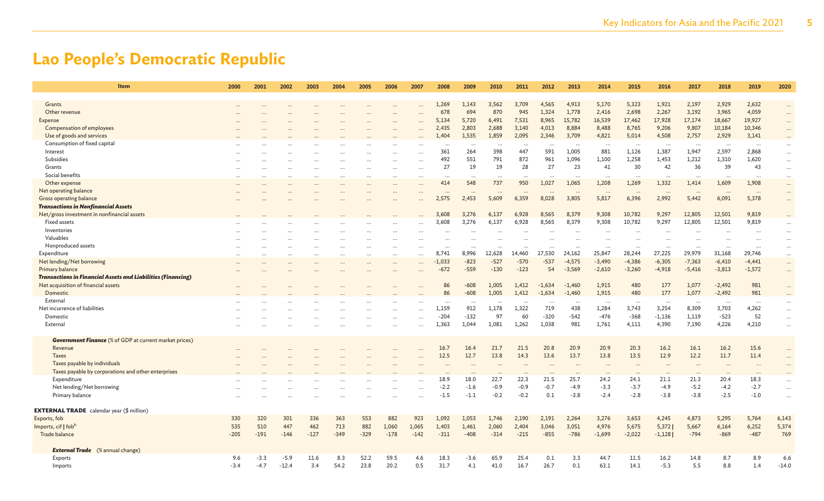| <b>Item</b>                                                         | 2000       | 2001       | 2002       | 2003       | 2004       | 2005       | 2006         | 2007                 | 2008            | 2009             | 2010                 | 2011            | 2012            | 2013                 | 2014             | 2015              | 2016              | 2017              | 2018                 | 2019              | 2020     |
|---------------------------------------------------------------------|------------|------------|------------|------------|------------|------------|--------------|----------------------|-----------------|------------------|----------------------|-----------------|-----------------|----------------------|------------------|-------------------|-------------------|-------------------|----------------------|-------------------|----------|
| Grants                                                              |            |            |            |            |            |            |              |                      | 1,269           | 1,143            | 3,562                | 3,709           | 4,565           | 4,913                | 5,170            | 5,323             | 1,921             | 2,197             | 2,929                | 2,632             | $\cdots$ |
| Other revenue                                                       |            |            |            |            |            |            |              |                      | 678             | 694              | 870                  | 945             | 1,324           | 1,778                | 2,416            | 2,698             | 2,267             | 3,192             | 3,965                | 4,059             |          |
| Expense                                                             |            |            |            |            |            |            |              |                      | 5,134           | 5,720            | 6,491                | 7,531           | 8,965           | 15,782               | 16,539           | 17,462            | 17,928            | 17,174            | 18,667               | 19,927            | $\dots$  |
| <b>Compensation of employees</b>                                    |            |            |            |            |            |            |              |                      | 2,435           | 2,803            | 2,688                | 3,140           | 4,013           | 8,884                | 8,488            | 8,765             | 9,206             | 9,807             | 10,184               | 10,346            | $\cdots$ |
| Use of goods and services                                           |            |            |            |            |            |            |              |                      | 1,404           | 1,535            | 1,859                | 2,095           | 2,346           | 3,709                | 4,821            | 5,014             | 4,508             | 2,757             | 2,929                | 3,141             | $\cdots$ |
|                                                                     |            |            |            |            |            |            |              |                      |                 |                  |                      |                 |                 |                      |                  |                   |                   |                   |                      |                   | $\cdots$ |
| Consumption of fixed capital                                        |            |            |            |            |            |            |              | $\ddotsc$            | $\cdots$<br>361 | $\ddotsc$<br>264 | $\ddotsc$<br>398     | $\cdots$<br>447 | $\ddots$<br>591 | $\ddotsc$<br>1,005   | $\cdots$<br>881  | $\ddots$<br>1,126 | $\cdots$<br>1,387 | $\cdots$<br>1,947 | $\ddotsc$<br>2,597   | $\cdots$<br>2,868 | $\cdots$ |
| Interest<br>Subsidies                                               |            |            |            |            |            |            | $\ddotsc$    | $\cdots$             | 492             |                  |                      |                 |                 |                      |                  |                   |                   |                   |                      |                   | $\cdots$ |
|                                                                     |            |            |            |            |            |            |              |                      | 27              | 551<br>19        | 791                  | 872<br>28       | 961<br>27       | 1,096<br>23          | 1,100            | 1,258<br>30       | 1,453             | 1,212<br>36       | 1,310<br>39          | 1,620             | $\cdots$ |
| Grants                                                              |            |            |            |            |            |            |              | $\ddotsc$            |                 |                  | 19                   |                 |                 |                      | 41               |                   | 42                |                   |                      | 43                | $\cdots$ |
| Social benefits                                                     |            |            |            |            |            |            |              | $\sim$               | $\cdots$        | $\ddotsc$        | $\ddot{\phantom{a}}$ |                 |                 |                      | $\ddots$         |                   |                   |                   | $\ddot{\phantom{a}}$ |                   | $\cdots$ |
| Other expense                                                       |            |            |            |            |            |            |              |                      | 414             | 548              | 737                  | 950             | 1,027           | 1,065                | 1,208            | 1,269             | 1,332             | 1,414             | 1,609                | 1,908             | $\cdots$ |
| Net operating balance                                               |            |            |            |            |            |            |              |                      | $\ddotsc$       |                  |                      |                 |                 |                      | $\cdot \cdot$    |                   | $\cdot \cdot$     |                   |                      |                   | $\cdots$ |
| Gross operating balance                                             |            |            |            |            |            |            |              |                      | 2,575           | 2,453            | 5,609                | 6,359           | 8,028           | 3,805                | 5,817            | 6,396             | 2,992             | 5,442             | 6,091                | 5,378             | $\cdots$ |
| <b>Transactions in Nonfinancial Assets</b>                          |            |            |            |            |            |            |              |                      |                 |                  |                      |                 |                 |                      |                  |                   |                   |                   |                      |                   |          |
| Net/gross investment in nonfinancial assets                         |            |            |            |            |            |            |              |                      | 3,608           | 3,276            | 6,137                | 6,928           | 8,565           | 8,379                | 9,308            | 10,782            | 9,297             | 12,805            | 12,501               | 9,819             | $\cdots$ |
| Fixed assets                                                        |            |            |            |            |            |            |              |                      | 3,608           | 3,276            | 6,137                | 6,928           | 8,565           | 8,379                | 9,308            | 10,782            | 9,297             | 12,805            | 12,501               | 9,819             | $\ddots$ |
| Inventories                                                         |            |            |            |            |            |            |              | $\ddotsc$            |                 | $\cdots$         |                      |                 |                 | $\ddotsc$            |                  | $\ddotsc$         | $\cdots$          |                   |                      |                   | $\cdots$ |
| Valuables                                                           |            |            |            |            |            |            |              | $\ddot{\phantom{a}}$ | $\cdots$        |                  |                      |                 |                 |                      | $\ddotsc$        |                   |                   |                   |                      |                   | $\cdots$ |
| Nonproduced assets                                                  |            |            |            |            |            |            |              | $\ddotsc$            | $\cdots$        | $\ddotsc$        |                      |                 |                 | $\ddot{\phantom{a}}$ | $\cdots$         |                   |                   |                   | $\ddotsc$            |                   | $\cdots$ |
| Expenditure                                                         | $\ddotsc$  |            | $\cdots$   |            | $\ddotsc$  |            |              |                      | 8,741           | 8,996            | 12,628               | 14,460          | 17,530          | 24,162               | 25,847           | 28,244            | 27,225            | 29,979            | 31,168               | 29,746            | $\cdots$ |
| Net lending/Net borrowing                                           |            |            |            |            |            |            |              |                      | $-1,033$        | $-823$           | $-527$               | $-570$          | $-537$          | $-4,575$             | $-3,490$         | $-4,386$          | $-6,305$          | $-7,363$          | $-6,410$             | $-4,441$          | $\cdots$ |
| Primary balance                                                     |            |            |            |            |            |            |              |                      | $-672$          | $-559$           | $-130$               | $-123$          | 54              | $-3,569$             | $-2,610$         | $-3,260$          | $-4,918$          | $-5,416$          | $-3,813$             | $-1,572$          | $\cdots$ |
| <b>Transactions in Financial Assets and Liabilities (Financing)</b> |            |            |            |            |            |            |              |                      |                 |                  |                      |                 |                 |                      |                  |                   |                   |                   |                      |                   |          |
| Net acquisition of financial assets                                 |            |            |            |            |            |            |              |                      | 86              | $-608$           | 1,005                | 1,412           | $-1,634$        | $-1,460$             | 1,915            | 480               | 177               | 1,077             | $-2,492$             | 981               | $\ldots$ |
| Domestic                                                            |            |            |            |            |            |            |              |                      | 86              | $-608$           | 1,005                | 1,412           | $-1,634$        | $-1,460$             | 1,915            | 480               | 177               | 1,077             | $-2,492$             | 981               | $\cdots$ |
| External                                                            |            |            |            |            |            |            |              | $\ddotsc$            |                 |                  | $\ddotsc$            | $\cdots$        | $\cdots$        | $\cdots$             |                  |                   |                   | $\cdots$          | $\cdots$             | $\cdots$          | $\cdots$ |
| Net incurrence of liabilities                                       |            |            |            |            |            |            |              | $\ddotsc$            | 1,159           | 912              | 1,178                | 1,322           | 719             | 438                  | 1,284            | 3,743             | 3,254             | 8,309             | 3,703                | 4,262             | $\cdots$ |
| Domestic                                                            |            |            |            |            |            |            | $\ddotsc$    |                      | $-204$          | $-132$           | 97                   | 60              | $-320$          | $-542$               | $-476$           | $-368$            | $-1,136$          | 1,119             | $-523$               | 52                | $\ldots$ |
| External                                                            |            |            |            |            |            |            |              | $\ddotsc$            | 1,363           | 1,044            | 1,081                | 1,262           | 1,038           | 981                  | 1,761            | 4,111             | 4,390             | 7,190             | 4,226                | 4,210             | $\cdots$ |
|                                                                     |            |            |            |            |            |            |              |                      |                 |                  |                      |                 |                 |                      |                  |                   |                   |                   |                      |                   |          |
| <b>Government Finance</b> (% of GDP at current market prices)       |            |            |            |            |            |            |              |                      |                 |                  |                      |                 |                 |                      |                  |                   |                   |                   |                      |                   |          |
| Revenue                                                             |            |            |            |            |            |            |              |                      | 16.7            | 16.4             | 21.7                 | 21.5            | 20.8            | 20.9                 | 20.9             | 20.3              | 16.2              | 16.1              | 16.2                 | 15.6              | $\cdots$ |
| <b>Taxes</b>                                                        |            |            |            |            |            |            |              |                      | 12.5            | 12.7             | 13.8                 | 14.3            | 13.6            | 13.7                 | 13.8             | 13.5              | 12.9              | 12.2              | 11.7                 | 11.4              |          |
| Taxes payable by individuals                                        |            |            |            |            |            |            |              |                      |                 |                  |                      |                 |                 |                      | $\cdot$ .        |                   | $\ddotsc$         |                   |                      |                   |          |
| Taxes payable by corporations and other enterprises                 |            |            |            |            |            |            |              |                      |                 |                  |                      |                 |                 |                      |                  |                   |                   |                   |                      |                   |          |
| Expenditure                                                         |            |            |            |            |            |            |              |                      | 18.9            | 18.0             | 22.7                 | 22.3            | 21.5            | 25.7                 | $\ddots$<br>24.2 | 24.1              | 21.1              | 21.3              | 20.4                 | 18.3              |          |
| Net lending/Net borrowing                                           |            |            |            |            |            |            |              |                      | $-2.2$          | $-1.6$           | $-0.9$               | $-0.9$          | $-0.7$          | $-4.9$               | $-3.3$           | $-3.7$            | $-4.9$            | $-5.2$            | $-4.2$               | $-2.7$            | $\cdots$ |
| Primary balance                                                     |            |            |            |            |            |            |              |                      | $-1.5$          | $-1.1$           | $-0.2$               | $-0.2$          | 0.1             | $-3.8$               | $-2.4$           | $-2.8$            | $-3.8$            | $-3.8$            | $-2.5$               | $-1.0$            | $\ldots$ |
|                                                                     |            |            |            |            |            |            |              | $\ddotsc$            |                 |                  |                      |                 |                 |                      |                  |                   |                   |                   |                      |                   | $\ddots$ |
| <b>EXTERNAL TRADE</b> calendar year (\$ million)                    |            |            |            |            |            |            |              |                      |                 |                  |                      |                 |                 |                      |                  |                   |                   |                   |                      |                   |          |
|                                                                     |            |            |            |            |            |            |              |                      |                 |                  |                      |                 |                 |                      |                  |                   |                   |                   |                      |                   |          |
| Exports, fob<br>Imports, cif   fobh                                 | 330<br>535 | 320<br>510 | 301<br>447 | 336<br>462 | 363<br>713 | 553<br>882 | 882<br>1,060 | 923<br>1,065         | 1,092           | 1,053            | 1,746                | 2,190           | 2,191           | 2,264<br>3,051       | 3,276            | 3,653             | 4,245             | 4,873             | 5,295                | 5,764             | 6,143    |
|                                                                     |            |            |            |            |            |            |              |                      | 1,403           | 1,461            | 2,060                | 2,404           | 3,046           |                      | 4,976            | 5,675             | 5,372             | 5,667             | 6,164                | 6,252             | 5,374    |
| Trade balance                                                       | $-205$     | $-191$     | $-146$     | $-127$     | $-349$     | $-329$     | $-178$       | $-142$               | $-311$          | $-408$           | $-314$               | $-215$          | $-855$          | $-786$               | $-1,699$         | $-2,022$          | $-1,128$          | $-794$            | $-869$               | $-487$            | 769      |
| <b>External Trade</b> (% annual change)                             |            |            |            |            |            |            |              |                      |                 |                  |                      |                 |                 |                      |                  |                   |                   |                   |                      |                   |          |
| Exports                                                             | 9.6        | $-3.3$     | $-5.9$     | 11.6       | 8.3        | 52.2       | 59.5         | 4.6                  | 18.3            | $-3.6$           | 65.9                 | 25.4            | 0.1             | 3.3                  | 44.7             | 11.5              | 16.2              | 14.8              | 8.7                  | 8.9               | 6.6      |
| Imports                                                             | $-3.4$     | $-4.7$     | $-12.4$    | 3.4        | 54.2       | 23.8       | 20.2         | 0.5                  | 31.7            | 4.1              | 41.0                 | 16.7            | 26.7            | 0.1                  | 63.1             | 14.1              | $-5.3$            | 5.5               | 8.8                  | 1.4               | $-14.0$  |
|                                                                     |            |            |            |            |            |            |              |                      |                 |                  |                      |                 |                 |                      |                  |                   |                   |                   |                      |                   |          |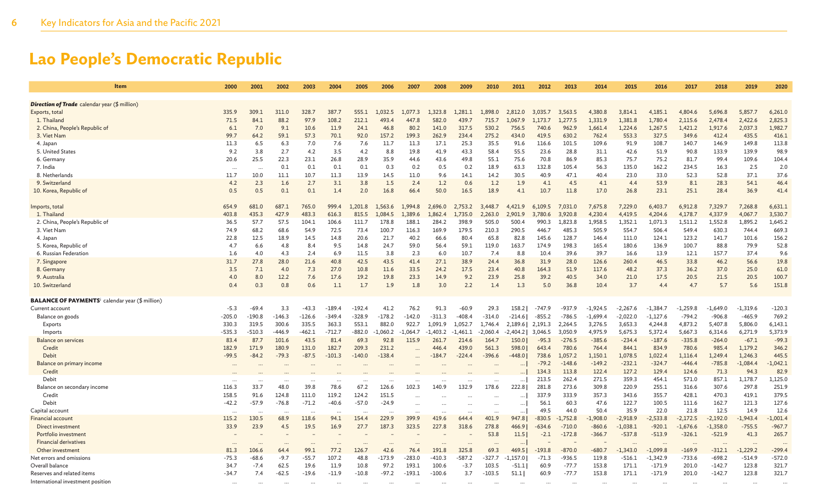| <b>Item</b>                                                        | 2000              | 2001              | 2002           | 2003            | 2004          | 2005          | 2006           | 2007             | 2008                 | 2009              | 2010             | 2011                     | 2012            | 2013              | 2014           | 2015              | 2016                   | 2017              | 2018                 | 2019                   | 2020              |
|--------------------------------------------------------------------|-------------------|-------------------|----------------|-----------------|---------------|---------------|----------------|------------------|----------------------|-------------------|------------------|--------------------------|-----------------|-------------------|----------------|-------------------|------------------------|-------------------|----------------------|------------------------|-------------------|
| <b>Direction of Trade</b> calendar year (\$ million)               |                   |                   |                |                 |               |               |                |                  |                      |                   |                  |                          |                 |                   |                |                   |                        |                   |                      |                        |                   |
| Exports, total                                                     | 335.9             | 309.1             | 311.0          | 328.7           | 387.7         | 555.1         | 1.032.5        | 1,077.3          | 1.323.8              | 1.281.1           | 1,898.0          | 2,812.0                  | 3.035.7         | 3.563.5           | 4.380.8        | 3.814.1           | 4.185.1                | 4,804.6           | 5.696.8              | 5,857.7                | 6,261.0           |
| 1. Thailand                                                        | 71.5              | 84.1              | 88.2           | 97.9            | 108.2         | 212.1         | 493.4          | 447.8            | 582.0                | 439.7             | 715.7            | 1.067.9                  | .173.7          | 1.277.5           | 1.331.9        | 1.381.8           | 1,780.4                | 2.115.6           | 2.478.4              | 2,422.6                | 2,825.3           |
| 2. China, People's Republic of                                     | 6.1               | 7.0               | 9.1            | 10.6            | 11.9          | 24.1          | 46.8           | 80.2             | 141.0                | 317.5             | 530.2            | 756.5                    | 740.6           | 962.9             | 1,661.4        | 1,224.6           | 1,267.5                | 1,421.2           | 1,917.6              | 2,037.3                | 1,982.7           |
| 3. Viet Nam                                                        | 99.7              | 64.2              | 59.1           | 57.3            | 70.1          | 92.0          | 157.2          | 199.3            | 262.9                | 234.4             | 275.2            | 434.0                    | 419.5           | 630.2             | 762.4          | 553.3             | 327.5                  | 349.6             | 412.4                | 435.5                  | 416.1             |
|                                                                    | 11.3              |                   |                |                 |               |               |                |                  | 17.1                 |                   |                  |                          |                 |                   |                |                   |                        |                   |                      |                        | 113.8             |
| 4. Japan<br>5. United States                                       | 9.2               | 6.5<br>3.8        | 6.3<br>2.7     | 7.0<br>4.2      | 7.6<br>3.5    | 7.6<br>4.2    | 11.7<br>8.8    | 11.3<br>19.8     | 41.9                 | 25.3<br>43.3      | 35.5<br>58.4     | 91.6<br>55.5             | 116.6<br>23.6   | 101.5<br>28.8     | 109.6<br>31.1  | 91.9<br>42.6      | 108.7<br>51.9          | 140.7<br>90.8     | 146.9<br>133.9       | 149.8<br>139.9         | 98.9              |
|                                                                    | 20.6              | 25.5              | 22.3           | 23.1            | 26.8          | 28.9          | 35.9           | 44.6             | 43.6                 | 49.8              | 55.1             | 75.6                     | 70.8            | 86.9              | 85.3           | 75.7              | 75.2                   | 81.7              | 99.4                 | 109.6                  | 104.4             |
| 6. Germany<br>7. India                                             |                   |                   | 0.1            | 0.1             | 0.1           | 0.1           | 0.3            | 0.2              | 0.5                  | 0.2               | 18.9             | 63.3                     | 132.8           | 105.4             | 56.3           | 135.0             | 162.2                  | 234.5             | 16.3                 | 2.5                    | 2.0               |
| 8. Netherlands                                                     | $\ddotsc$<br>11.7 | $\ddotsc$<br>10.0 | 11.1           | 10.7            | 11.3          | 13.9          | 14.5           | 11.0             | 9.6                  | 14.1              | 14.2             | 30.5                     | 40.9            | 47.1              | 40.4           | 23.0              | 33.0                   | 52.3              | 52.8                 | 37.1                   | 37.6              |
| 9. Switzerland                                                     | 4.2               | 2.3               | 1.6            | 2.7             | 3.1           | 3.8           | 1.5            | 2.4              | 1.2                  | 0.6               | 1.2              | 1.9                      | 4.1             | 4.5               | 4.1            | 4.4               | 53.9                   | 8.1               | 28.3                 | 54.1                   | 46.4              |
| 10. Korea, Republic of                                             | 0.5               | 0.5               | 0.1            | 0.1             | 1.4           | 2.0           | 16.8           | 66.4             | 50.0                 | 16.5              | 18.9             | 4.1                      | 10.7            | 11.8              | 17.0           | 26.8              | 23.1                   | 25.1              | 28.4                 | 36.9                   | 41.4              |
|                                                                    |                   |                   |                |                 |               |               |                |                  |                      |                   |                  |                          |                 |                   |                |                   |                        |                   |                      |                        |                   |
| Imports, total                                                     | 654.9             | 681.0             | 687.1          | 765.0           | 999.4         | .201.8        | L.563.6        | 1,994.8          | 2.696.0              | 2.753.2           | 448.7<br>3       | .421.9<br>$\overline{4}$ | 6.109.5         | 7.031.0           | 7,675.8        | 7.229.0           | 6,403.7                | 6.912.8           | 7.329.7              | 7.268.8                | 6,631.1           |
| 1. Thailand                                                        | 403.8             | 435.3             | 427.9          | 483.3           | 616.3         | 815.5         | 1,084.5        | 1,389.6          | ,862.4               | 1,735.0           | 2,263.0          | 2,901.9                  | 3,780.6         | 3,920.8           | 4,230.4        | 4,419.5           | 4,204.6                | 4,178.7           | 4,337.9              | 4,067.7                | 3,530.7           |
| 2. China, People's Republic of                                     | 36.5              | 57.7              | 57.5           | 104.1           | 106.6         | 111.7         | 178.8          | 188.1            | 284.2                | 398.9             | 505.0            | 500.4                    | 990.3           | 1,823.8           | 1,958.5        | 1,352.1           | 1,071.3                | 1,511.2           | 1,552.8              | 1,895.2                | 1,645.2           |
| 3. Viet Nam                                                        | 74.9              | 68.2              | 68.6           | 54.9            | 72.5          | 73.4          | 100.7          | 116.3            | 169.9                | 179.5             | 210.3            | 290.5                    | 446.7           | 485.3             | 505.9          | 554.7             | 506.4                  | 549.4             | 630.3                | 744.4                  | 669.3             |
| 4. Japan                                                           | 22.8              | 12.5              | 18.9           | 14.5            | 14.8          | 20.6          | 21.7           | 40.2             | 66.6                 | 80.4              | 65.8             | 82.8                     | 145.6           | 128.7             | 146.4          | 111.0             | 124.1                  | 123.2             | 141.7                | 101.6                  | 156.2             |
| 5. Korea, Republic of                                              | 4.7               | 6.6               | 4.8            | 8.4             | 9.5           | 14.8          | 24.7           | 59.0             | 56.4                 | 59.1              | 119.0            | 163.7                    | 174.9           | 198.3             | 165.4          | 180.6             | 136.9                  | 100.7             | 88.8                 | 79.9                   | 52.8              |
| 6. Russian Federation                                              | 1.6               | 4.0               | 4.3            | 2.4             | 6.9           | 11.5          | 3.8            | 2.3              | 6.0                  | 10.7              | 7.4              | 8.8                      | 10.4            | 39.6              | 39.7           | 16.6              | 13.9                   | 12.1              | 157.7                | 37.4                   | 9.6               |
| 7. Singapore                                                       | 31.7              | 27.8              | 28.0           | 21.6            | 40.8          | 42.5          | 43.5           | 41.4             | 27.1                 | 38.9              | 24.4             | 36.8                     | 31.9            | 28.0              | 126.6          | 260.4             | 46.5                   | 33.8              | 46.2                 | 56.6                   | 19.8              |
| 8. Germany                                                         | 3.5               | 7.1               | 4.0            | 7.3             | 27.0          | 10.8          | 11.6           | 33.5             | 24.2                 | 17.5              | 23.4             | 40.8                     | 164.3           | 51.9              | 117.6          | 48.2              | 37.3                   | 36.2              | 37.0                 | 25.0                   | 61.0              |
| 9. Australia                                                       | 4.0               | 8.0               | 12.2           | 7.6             | 17.6          | 19.2          | 19.8           | 23.3             | 14.9                 | 9.2               | 23.9             | 25.8                     | 39.2            | 40.5              | 34.0           | 21.0              | 17.5                   | 20.5              | 21.5                 | 20.5                   | 100.7             |
| 10. Switzerland                                                    | 0.4               | 0.3               | 0.8            | 0.6             | 1.1           | 1.7           | 1.9            | 1.8              | 3.0                  | 2.2               | 1.4              | 1.3                      | 5.0             | 36.8              | 10.4           | 3.7               | 4.4                    | 4.7               | 5.7                  | 5.6                    | 151.8             |
| <b>BALANCE OF PAYMENTS</b> <sup>i</sup> calendar year (\$ million) |                   |                   |                |                 |               |               |                |                  |                      |                   |                  |                          |                 |                   |                |                   |                        |                   |                      |                        |                   |
| Current account                                                    | $-5.3$            | $-69.4$           | 3.3            | $-43.3$         | $-189.4$      | $-192.4$      | 41.2           | 76.2             | 91.3                 | $-60.9$           | 29.3             | 158.2                    | $-747.9$        | $-937.9$          | $-1.924.5$     | $-2,267.6$        | $-1,384.7$             | $-1,259.8$        | $-1,649.0$           | $-1,319.6$             | $-120.3$          |
| Balance on goods                                                   | $-205.0$          | $-190.8$          | $-146.3$       | $-126.6$        | $-349.4$      | $-328.9$      | $-178.2$       | $-142.0$         | $-311.3$             | $-408.4$          | $-314.0$         | $-214.6$                 | $-855.2$        | $-786.5$          | $-1,699.4$     | $-2,022.0$        | $-1,127.6$             | $-794.2$          | $-906.8$             | $-465.9$               | 769.2             |
| Exports                                                            | 330.3             | 319.5             | 300.6          | 335.5           | 363.3         | 553.1         | 882.0          | 922.7            | 1.091.9              | 1.052.7           | 1.746.4          | 2,189.6                  | 2,191.3         | 2.264.5           | 3,276.5        | 3,653.3           | 4,244.8                | 4,873.2           | 5,407.8              | 5,806.0                | 6,143.1           |
| Imports                                                            | $-535.3$          | $-510.3$          | $-446.9$       | $-462.1$        | $-712.7$      | $-882.0$      | $-1,060.2$     | 1.064.7          | .403.2               | $-1.461.1$        | $-2.060.4$       | -2,404.21                | 3.046.5         | 3,050.9           | 4,975.9        | 5,675.3           | 5,372.4                | 5,667.3           | 6,314.6              | 6,271.9                | 5,373.9           |
| <b>Balance on services</b>                                         | 83.4              | 87.7              | 101.6          | 43.5            | 81.4          | 69.3          | 92.8           | 115.9            | 261.7                | 214.6             | 164.7            | 150.0                    | $-95.3$         | $-276.5$          | $-385.6$       | $-234.4$          | $-187.6$               | $-335.8$          | $-264.0$             | $-67.1$                | $-99.3$           |
| Credit                                                             | 182.9             | 171.9             | 180.9          | 131.0           | 182.7         | 209.3         | 231.2          |                  | 446.4                | 439.0             | 561.3            | 598.0                    | 643.4           | 780.6             | 764.4          | 844.1             | 834.9                  | 780.6             | 985.4                | 1,179.2                | 346.2             |
| Debit                                                              | $-99.5$           | $-84.2$           | $-79.3$        | $-87.5$         | $-101.3$      | $-140.0$      | $-138.4$       |                  | $-184.7$             | $-224.4$          | $-396.6$         | $-448.0$                 | 738.6           | 1.057.2           | 1,150.1        | 1,078.5           | 1,022.4                | 1,116.4           | 1,249.4              | 1,246.3                | 445.5             |
| Balance on primary income                                          |                   |                   |                |                 |               |               |                |                  |                      |                   |                  |                          | $-79.2$         | $-148.6$          | $-149.2$       | $-232.1$          | $-324.7$               | $-446.4$          | $-785.8$             | $-1,084.4$             | $-1,042.1$        |
| Credit                                                             |                   |                   |                |                 |               |               |                |                  |                      |                   |                  |                          | 134.3           | 113.8             | 122.4          | 127.2             | 129.4                  | 124.6             | 71.3                 | 94.3                   | 82.9              |
| Debit                                                              |                   |                   |                |                 |               | $\ddotsc$     | $\ddotsc$      |                  |                      |                   | $\ddotsc$        | $\cdots$                 | 213.5           | 262.4             | 271.5          | 359.3             | 454.1                  | 571.0             | 857.1                | 1,178.7                | 1,125.0           |
| Balance on secondary income                                        | 116.3             | 33.7              | 48.0           | 39.8            | 78.6          | 67.2          | 126.6          | 102.3            | 140.9                | 132.9             | 178.6            | 222.8                    | 281.8           | 273.6             | 309.8          | 220.9             | 255.1                  | 316.6             | 307.6                | 297.8                  | 251.9             |
| Credit                                                             | 158.5             | 91.6              | 124.8          | 111.0           | 119.2         | 124.2         | 151.5          | $\cdots$         |                      |                   |                  | $\cdots$                 | 337.9           | 333.9             | 357.3          | 343.6             | 355.7                  | 428.1             | 470.3                | 419.1                  | 379.5             |
| Debit                                                              | $-42.2$           | $-57.9$           | $-76.8$        | $-71.2$         | $-40.6$       | $-57.0$       | $-24.9$        |                  | $\ddotsc$            |                   | $\cdots$         | $\ldots$                 | 56.1            | 60.3              | 47.6           | 122.7             | 100.5                  | 111.6             | 162.7                | 121.3                  | 127.6             |
| Capital account                                                    |                   |                   |                | $\cdots$        |               | $\ddotsc$     | $\ddotsc$      |                  | $\ddot{\phantom{a}}$ |                   |                  | $\cdots$                 | 49.5            | 44.0              | 50.4           | 35.9              | 22.0                   | 21.8              | 12.5                 | 14.9                   | 12.6              |
| <b>Financial account</b>                                           | 115.2             | 130.5             | 68.9           | 118.6           | 94.1          | 154.4         | 229.9          | 399.9            | 419.6                | 644.4             | 401.9            | 947.8                    | $-830.5$        | $-1.752.8$        | $-1,908.0$     | $-2,918.9$        | $-2,533.8$             | $-2,172.5$        | $-2,192.0$           | $-1,943.4$             | $-1,001.4$        |
| Direct investment                                                  | 33.9              | 23.9              | 4.5            | 19.5            | 16.9          | 27.7          | 187.3          | 323.5            | 227.8                | 318.6             | 278.8            | 466.9                    | $-634.6$        | $-710.0$          | $-860.6$       | $-1,038.1$        | $-920.1$               | $-1,676.6$        | $-1,358.0$           | $-755.5$               | $-967.7$          |
| Portfolio investment                                               |                   |                   |                |                 |               |               |                |                  |                      |                   | 53.8             | 11.5                     | $-2.1$          | $-172.8$          | $-366.7$       | $-537.8$          | $-513.9$               | $-326.1$          | $-521.9$             | 41.3                   | 265.7             |
| <b>Financial derivatives</b>                                       |                   |                   |                |                 |               |               |                |                  |                      |                   |                  |                          |                 |                   |                |                   |                        |                   |                      |                        |                   |
| Other investment                                                   | 81.3              | 106.6             | 64.4           | 99.1<br>$-55.7$ | 77.2<br>107.2 | 126.7<br>48.8 | 42.6           | 76.4<br>$-283.0$ | 191.8                | 325.8<br>$-587.2$ | 69.3<br>$-327.7$ | 469.5                    | $-193.8$        | $-870.0$          | $-680.7$       | $-1,343.0$        | $-1,099.8$             | $-169.9$          | $-312.1$<br>$-698.2$ | $-1,229.2$<br>$-514.9$ | $-299.4$          |
| Net errors and omissions<br>Overall balance                        | $-75.3$<br>34.7   | $-68.6$<br>$-7.4$ | $-9.7$<br>62.5 | 19.6            | 11.9          | 10.8          | -173.9<br>97.2 | 193.1            | $-410.3$<br>100.6    | $-3.7$            | 103.5            | $-1,157.0$<br>$-51.1$    | $-71.3$<br>60.9 | -936.5<br>$-77.7$ | 119.8<br>153.8 | $-516.1$<br>171.1 | $-1,342.9$<br>$-171.9$ | $-733.6$<br>201.0 | $-142.7$             | 123.8                  | $-572.0$<br>321.7 |
| Reserves and related items                                         | $-34.7$           | 7.4               | $-62.5$        | $-19.6$         | $-11.9$       | $-10.8$       | -97.2          | $-193.1$         | $-100.6$             | 3.7               | $-103.5$         | 51.1                     | 60.9            | $-77.7$           | 153.8          | 171.1             | $-171.9$               | 201.0             | $-142.7$             | 123.8                  | 321.7             |
| International investment position                                  |                   |                   |                |                 |               |               |                |                  |                      |                   |                  |                          |                 |                   |                |                   |                        |                   |                      |                        |                   |
|                                                                    |                   | $\ddots$          |                |                 |               |               |                |                  |                      |                   |                  |                          |                 | $\cdots$          |                |                   |                        |                   |                      |                        |                   |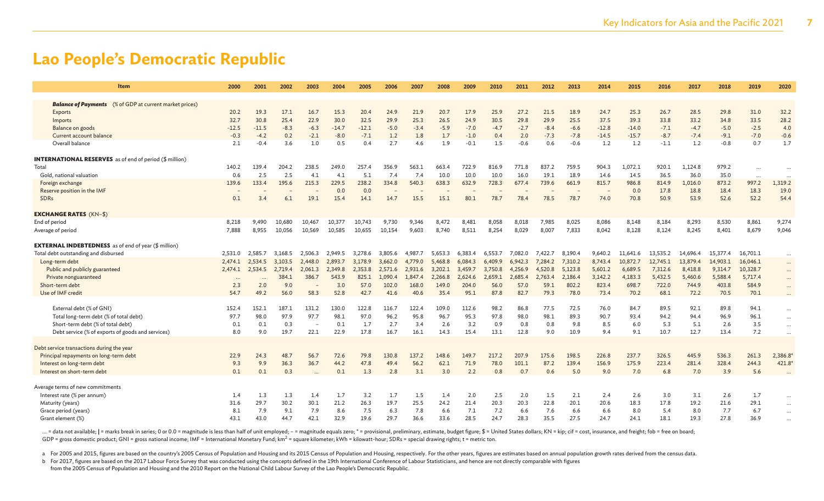| <b>Item</b>                                                    | 2000    | 2001    | 2002    | 2003    | 2004    | 2005    | 2006                     | 2007    | 2008    | 2009    | 2010    | 2011    | 2012    | 2013    | 2014                     | 2015     | 2016     | 2017     | 2018     | 2019      | 2020     |
|----------------------------------------------------------------|---------|---------|---------|---------|---------|---------|--------------------------|---------|---------|---------|---------|---------|---------|---------|--------------------------|----------|----------|----------|----------|-----------|----------|
| <b>Balance of Payments</b> (% of GDP at current market prices) |         |         |         |         |         |         |                          |         |         |         |         |         |         |         |                          |          |          |          |          |           |          |
| Exports                                                        | 20.2    | 19.3    | 17.1    | 16.7    | 15.3    | 20.4    | 24.9                     | 21.9    | 20.7    | 17.9    | 25.9    | 27.2    | 21.5    | 18.9    | 24.7                     | 25.3     | 26.7     | 28.5     | 29.8     | 31.0      | 32.2     |
| Imports                                                        | 32.7    | 30.8    | 25.4    | 22.9    | 30.0    | 32.5    | 29.9                     | 25.3    | 26.5    | 24.9    | 30.5    | 29.8    | 29.9    | 25.5    | 37.5                     | 39.3     | 33.8     | 33.2     | 34.8     | 33.5      | 28.2     |
| Balance on goods                                               | $-12.5$ | $-11.5$ | $-8.3$  | $-6.3$  | $-14.7$ | $-12.1$ | $-5.0$                   | $-3.4$  | $-5.9$  | $-7.0$  | $-4.7$  | $-2.7$  | $-8.4$  | $-6.6$  | $-12.8$                  | $-14.0$  | $-7.1$   | $-4.7$   | $-5.0$   | $-2.5$    | 4.0      |
| Current account balance                                        | $-0.3$  | $-4.2$  | 0.2     | $-2.1$  | $-8.0$  | $-7.1$  | 1.2                      | 1.8     | 1.7     | $-1.0$  | 0.4     | 2.0     | $-7.3$  | $-7.8$  | $-14.5$                  | $-15.7$  | $-8.7$   | $-7.4$   | $-9.1$   | $-7.0$    | $-0.6$   |
| Overall balance                                                | 2.1     | $-0.4$  | 3.6     | 1.0     | 0.5     | 0.4     | 2.7                      | 4.6     | 1.9     | $-0.1$  | 1.5     | $-0.6$  | 0.6     | $-0.6$  | 1.2                      | 1.2      | $-1.1$   | 1.2      | $-0.8$   | 0.7       | 1.7      |
| <b>INTERNATIONAL RESERVES</b> as of end of period (\$ million) |         |         |         |         |         |         |                          |         |         |         |         |         |         |         |                          |          |          |          |          |           |          |
| Total                                                          | 140.2   | 139.4   | 204.2   | 238.5   | 249.0   | 257.4   | 356.9                    | 563.1   | 663.4   | 722.9   | 816.9   | 771.8   | 837.2   | 759.5   | 904.3                    | 1,072.1  | 920.1    | 1,124.8  | 979.2    |           |          |
| Gold, national valuation                                       | 0.6     | 2.5     | 2.5     | 4.1     | 4.1     | 5.1     | 7.4                      | 7.4     | 10.0    | 10.0    | 10.0    | 16.0    | 19.1    | 18.9    | 14.6                     | 14.5     | 36.5     | 36.0     | 35.0     | $\ddotsc$ |          |
| Foreign exchange                                               | 139.6   | 133.4   | 195.6   | 215.3   | 229.5   | 238.2   | 334.8                    | 540.3   | 638.3   | 632.9   | 728.3   | 677.4   | 739.6   | 661.9   | 815.7                    | 986.8    | 814.9    | 1,016.0  | 873.2    | 997.2     | 1,319.2  |
| Reserve position in the IMF                                    |         |         |         |         | 0.0     | 0.0     | $\overline{\phantom{a}}$ |         |         |         |         |         |         |         | $\overline{\phantom{m}}$ | 0.0      | 17.8     | 18.8     | 18.4     | 18.3      | 19.0     |
| <b>SDRs</b>                                                    | 0.1     | 3.4     | 6.1     | 19.1    | 15.4    | 14.1    | 14.7                     | 15.5    | 15.1    | 80.1    | 78.7    | 78.4    | 78.5    | 78.7    | 74.0                     | 70.8     | 50.9     | 53.9     | 52.6     | 52.2      | 54.4     |
| <b>EXCHANGE RATES (KN-\$)</b>                                  |         |         |         |         |         |         |                          |         |         |         |         |         |         |         |                          |          |          |          |          |           |          |
| End of period                                                  | 8,218   | 9,490   | 10,680  | 10,467  | 10,377  | 10,743  | 9,730                    | 9,346   | 8,472   | 8,481   | 8,058   | 8,018   | 7,985   | 8,025   | 8,086                    | 8,148    | 8,184    | 8,293    | 8,530    | 8,861     | 9,274    |
| Average of period                                              | 7,888   | 8,955   | 10,056  | 10,569  | 10,585  | 10,655  | 10,154                   | 9,603   | 8,740   | 8,511   | 8,254   | 8,029   | 8,007   | 7,833   | 8,042                    | 8,128    | 8,124    | 8,245    | 8,401    | 8,679     | 9,046    |
| <b>EXTERNAL INDEBTEDNESS</b> as of end of year (\$ million)    |         |         |         |         |         |         |                          |         |         |         |         |         |         |         |                          |          |          |          |          |           |          |
| Total debt outstanding and disbursed                           | 2.531.0 | 2.585.7 | 3.168.5 | 2,506.3 | 2,949.5 | 3,278.6 | 3,805.6                  | 4.987.7 | 5,653.3 | 6,383.4 | 6.553.7 | 7,082.0 | 7,422.7 | 8,190.4 | 9,640.2                  | 11,641.6 | 13,535.2 | 14,696.4 | 15,377.4 | 16,701.1  | $\cdots$ |
| Long-term debt                                                 | 2.474.1 | 2.534.5 | 3.103.5 | 2,448.0 | 2.893.7 | 3.178.9 | 3.662.0                  | 4,779.0 | 5.468.8 | 6.084.3 | 6,409.9 | 6.942.3 | 7.284.2 | 7.310.2 | 8,743.4                  | 10,872.7 | 12,745.1 | 13,879.4 | 14,903.1 | 16,046.1  | $\cdots$ |
| Public and publicly guaranteed                                 | 2.474.1 | 2,534.5 | 2,719.4 | 2.061.3 | 2.349.8 | 2.353.8 | 2,571.6                  | 2,931.6 | 3,202.1 | 3,459.7 | 3,750.8 | 4,256.9 | 4,520.8 | 5,123.8 | 5,601.2                  | 6,689.5  | 7,312.6  | 8,418.8  | 9,314.7  | 10,328.7  | $\cdots$ |
| Private nonguaranteed                                          |         |         | 384.1   | 386.7   | 543.9   | 825.1   | 1.090.4                  | 1.847.4 | 2,266.8 | 2.624.6 | 2.659.1 | 2.685.4 | 2.763.4 | 2,186.4 | 3,142.2                  | 4,183.3  | 5,432.5  | 5,460.6  | 5,588.4  | 5,717.4   | $\cdots$ |
| Short-term debt                                                | 2.3     | 2.0     | 9.0     |         | 3.0     | 57.0    | 102.0                    | 168.0   | 149.0   | 204.0   | 56.0    | 57.0    | 59.1    | 802.2   | 823.4                    | 698.7    | 722.0    | 744.9    | 403.8    | 584.9     | $\cdots$ |
| Use of IMF credit                                              | 54.7    | 49.2    | 56.0    | 58.3    | 52.8    | 42.7    | 41.6                     | 40.6    | 35.4    | 95.1    | 87.8    | 82.7    | 79.3    | 78.0    | 73.4                     | 70.2     | 68.1     | 72.2     | 70.5     | 70.1      | $\cdots$ |
| External debt (% of GNI)                                       | 152.4   | 152.1   | 187.1   | 131.2   | 130.0   | 122.8   | 116.7                    | 122.4   | 109.0   | 112.6   | 98.2    | 86.8    | 77.5    | 72.5    | 76.0                     | 84.7     | 89.5     | 92.1     | 89.8     | 94.1      | $\cdots$ |
| Total long-term debt (% of total debt)                         | 97.7    | 98.0    | 97.9    | 97.7    | 98.1    | 97.0    | 96.2                     | 95.8    | 96.7    | 95.3    | 97.8    | 98.0    | 98.1    | 89.3    | 90.7                     | 93.4     | 94.2     | 94.4     | 96.9     | 96.1      | $\cdots$ |
| Short-term debt (% of total debt)                              | 0.1     | 0.1     | 0.3     |         | 0.1     | 1.7     | 2.7                      | 3.4     | 2.6     | 3.2     | 0.9     | 0.8     | 0.8     | 9.8     | 8.5                      | 6.0      | 5.3      | 5.1      | 2.6      | 3.5       | $\cdots$ |
| Debt service (% of exports of goods and services)              | 8.0     | 9.0     | 19.7    | 22.1    | 22.9    | 17.8    | 16.7                     | 16.1    | 14.3    | 15.4    | 13.1    | 12.8    | 9.0     | 10.9    | 9.4                      | 9.1      | 10.7     | 12.7     | 13.4     | 7.2       |          |
| Debt service transactions during the year                      |         |         |         |         |         |         |                          |         |         |         |         |         |         |         |                          |          |          |          |          |           |          |
| Principal repayments on long-term debt                         | 22.9    | 24.3    | 48.7    | 56.7    | 72.6    | 79.8    | 130.8                    | 137.2   | 148.6   | 149.7   | 217.2   | 207.9   | 175.6   | 198.5   | 226.8                    | 237.7    | 326.5    | 445.9    | 536.3    | 261.3     | 2,386.8  |
| Interest on long-term debt                                     | 9.3     | 9.9     | 36.3    | 36.7    | 44.2    | 47.8    | 49.4                     | 56.2    | 62.1    | 71.9    | 78.0    | 101.1   | 87.2    | 139.4   | 156.9                    | 175.9    | 223.4    | 281.4    | 328.4    | 244.3     | 421.8*   |
| Interest on short-term debt                                    | 0.1     | 0.1     | 0.3     |         | 0.1     | 1.3     | 2.8                      | 3.1     | 3.0     | 2.2     | 0.8     | 0.7     | 0.6     | 5.0     | 9.0                      | 7.0      | 6.8      | 7.0      | 3.9      | 5.6       | $\sim$   |
| Average terms of new commitments                               |         |         |         |         |         |         |                          |         |         |         |         |         |         |         |                          |          |          |          |          |           |          |
| Interest rate (% per annum)                                    | 1.4     | 1.3     | 1.3     | 1.4     | 1.7     | 3.2     | 1.7                      | 1.5     | 1.4     | 2.0     | 2.5     | 2.0     | 1.5     | 2.1     | 2.4                      | 2.6      | 3.0      | 3.1      | 2.6      | 1.7       | $\cdots$ |
| Maturity (years)                                               | 31.6    | 29.7    | 30.2    | 30.1    | 21.2    | 26.3    | 19.7                     | 25.5    | 24.2    | 21.4    | 20.3    | 20.3    | 22.8    | 20.1    | 20.6                     | 18.3     | 17.8     | 19.2     | 21.6     | 29.1      | $\cdots$ |
| Grace period (years)                                           | 8.1     | 7.9     | 9.1     | 7.9     | 8.6     | 7.5     | 6.3                      | 7.8     | 6.6     | 7.1     | 7.2     | 6.6     | 7.6     | 6.6     | 6.6                      | 8.0      | 5.4      | 8.0      | 7.7      | 6.7       | $\cdots$ |
| Grant element (%)                                              | 43.1    | 43.0    | 44.7    | 42.1    | 32.9    | 19.6    | 29.7                     | 36.6    | 33.6    | 28.5    | 24.7    | 28.3    | 35.5    | 27.5    | 24.7                     | 24.1     | 18.1     | 19.3     | 27.8     | 36.9      |          |

... = data not available; | = marks break in series; 0 or 0.0 = magnitude is less than half of unit employed; - = magnitude equals zero; \* = provisional, preliminary, estimate, budget figure; \$ = United States dollars; KN GDP = gross domestic product; GNI = gross national income; IMF = International Monetary Fund; km<sup>2</sup> = square kilometer; kWh = kilowatt-hour; SDRs = special drawing rights; t = metric ton.

a For 2005 and 2015, figures are based on the country's 2005 Census of Population and Housing and its 2015 Census of Population and Housing respectively. For the other years, figures are estimates based on annual populatio

b For 2017, figures are based on the 2017 Labour Force Survey that was conducted using the concepts defined in the 19th International Conference of Labour Statisticians, and hence are not directly comparable with figures from the 2005 Census of Population and Housing and the 2010 Report on the National Child Labour Survey of the Lao People's Democratic Republic.